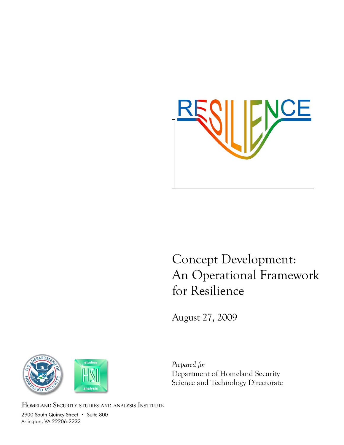

# Concept Development: An Operational Framework for Resilience

August 27, 2009



Prepared for Department of Homeland Security Science and Technology Directorate

HOMELAND SECURITY STUDIES AND ANALYSIS INSTITUTE 2900 South Quincy Street . Suite 800 Arlington, VA 22206-2233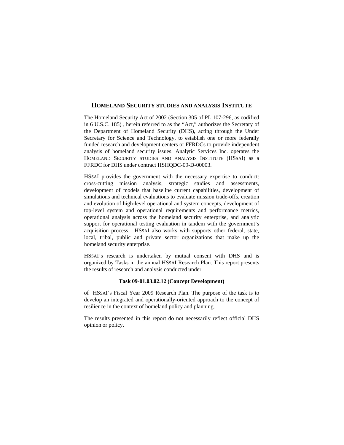#### **HOMELAND SECURITY STUDI IES AND ANALYSIS INSTITUTE**

The Homeland Security Act of 2002 (S Section 305 of PL 107-296, as codified in 6 U.S.C. 185) , herein referred to as the "Act," authorizes the Secretary of the Department of Homeland Security (DHS), acting through the Under Secretary for Science and Technology, to establish one or more federally funded research and development centers or FFRDCs to provide independent analysis of homeland security issues. . Analytic Services Inc. operates the HOMELAND SECURITY STUDIES AND ANALYSIS INSTITUTE (HSSAI) as a FFRDC for DHS under contract HSHQDC-09-D-00003.

HSSAI provides the government with the necessary expertise to conduct: cross-cutting mission analysis, st trategic studies and assessments, development of models that baseline current capabilities, development of simulations and technical evaluations to evaluate mission trade-offs, creation and evolution of high-level operational and system concepts, development of top-level system and operational req quirements and performance metrics, operational analysis across the homel land security enterprise, and analytic support for operational testing evaluation in tandem with the government's acquisition process. HSSAI also works with supports other federal, state, local, tribal, public and private sector organizations that make up the homeland security enterprise.

HSSAI's research is undertaken by mutual consent with DHS and is organized by Tasks in the annual HSSA AI Research Plan. This report presents the results of research and analysis conducted under

#### **Task 09-01.03.02.12 (C Concept Development)**

of HSsAI's Fiscal Year 2009 Research Plan. The purpose of the task is to develop an integrated and operationall ly-oriented approach to the concept of resilience in the context of homeland policy and planning.

The results presented in this report do not necessarily reflect official DHS opinion or policy.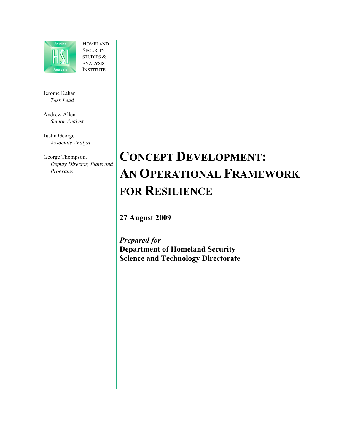

HOMELAND **SECURITY** STUDIES & ANALYSIS INSTITUTE

Jerome Kahan *Task Lead* 

Andrew Allen *Senior Analyst* 

Justin George *Associate Analyst* 

George Thompson, *Deputy Director, Plans and Programs*

# **CONCEPT DEVELOPMENT: AN OPERATIONAL FRAMEWORK FOR RESILIENCE**

**27 August 2009**

*Prepared for*  **Department of Homeland Security Science and Technology Directorate**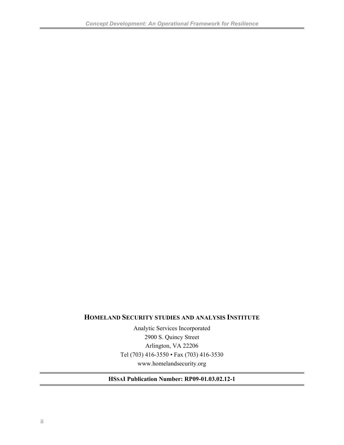#### **HOMELAND SECURITY STUDIES AND ANALYSIS INSTITUTE**

Analytic Services Incorporated 2900 S. Quincy Street Arlington, VA 22206 Tel (703) 416-3550 • Fax (703) 416-3530 www.homelandsecurity.org

#### **HSSAI Publication Number: RP09-01.03.02.12-1**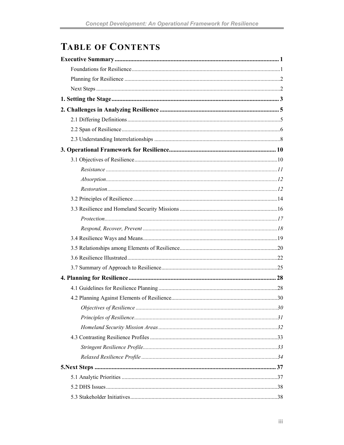## **TABLE OF CONTENTS**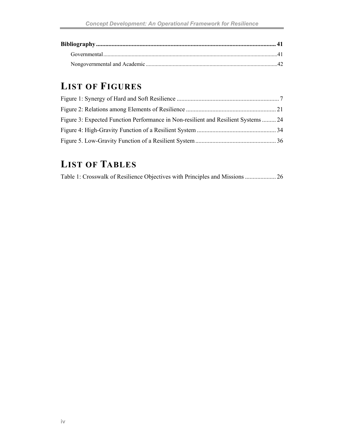## **LIST OF FIGURES**

| Figure 3: Expected Function Performance in Non-resilient and Resilient Systems  24 |  |
|------------------------------------------------------------------------------------|--|
|                                                                                    |  |
|                                                                                    |  |

## **LIST OF TABLES**

Table 1: Crosswalk of Resilience Objectives with Principles and Missions .................... 26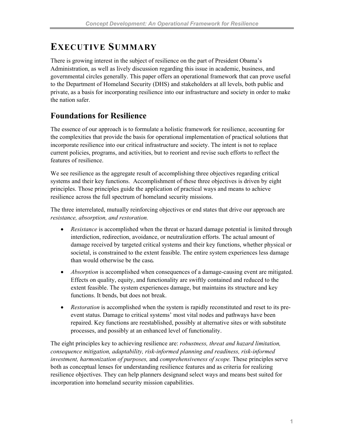## **EXECUTIVE SUMMARY**

There is growing interest in the subject of resilience on the part of President Obama's Administration, as well as lively discussion regarding this issue in academic, business, and governmental circles generally. This paper offers an operational framework that can prove useful to the Department of Homeland Security (DHS) and stakeholders at all levels, both public and private, as a basis for incorporating resilience into our infrastructure and society in order to make the nation safer.

### **Foundations for Resilience**

The essence of our approach is to formulate a holistic framework for resilience, accounting for the complexities that provide the basis for operational implementation of practical solutions that incorporate resilience into our critical infrastructure and society. The intent is not to replace current policies, programs, and activities, but to reorient and revise such efforts to reflect the features of resilience.

We see resilience as the aggregate result of accomplishing three objectives regarding critical systems and their key functions. Accomplishment of these three objectives is driven by eight principles. Those principles guide the application of practical ways and means to achieve resilience across the full spectrum of homeland security missions.

The three interrelated, mutually reinforcing objectives or end states that drive our approach are *resistance, absorption, and restoration.*

- *Resistance* is accomplished when the threat or hazard damage potential is limited through interdiction, redirection, avoidance, or neutralization efforts. The actual amount of damage received by targeted critical systems and their key functions, whether physical or societal, is constrained to the extent feasible. The entire system experiences less damage than would otherwise be the case*.*
- *Absorption* is accomplished when consequences of a damage-causing event are mitigated. Effects on quality, equity, and functionality are swiftly contained and reduced to the extent feasible. The system experiences damage, but maintains its structure and key functions. It bends, but does not break.
- *Restoration* is accomplished when the system is rapidly reconstituted and reset to its preevent status. Damage to critical systems' most vital nodes and pathways have been repaired. Key functions are reestablished, possibly at alternative sites or with substitute processes, and possibly at an enhanced level of functionality.

The eight principles key to achieving resilience are: *robustness, threat and hazard limitation, consequence mitigation, adaptability, risk-informed planning and readiness, risk-informed investment, harmonization of purposes,* and *comprehensiveness of scope.* These principles serve both as conceptual lenses for understanding resilience features and as criteria for realizing resilience objectives. They can help planners designand select ways and means best suited for incorporation into homeland security mission capabilities.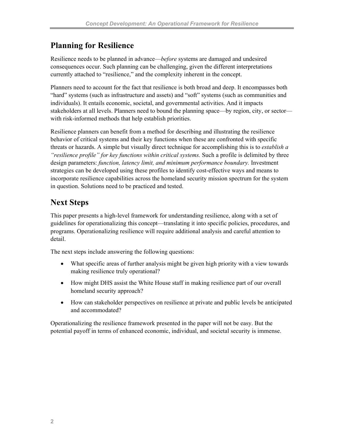### **Planning for Resilience**

Resilience needs to be planned in advance—*before* systems are damaged and undesired consequences occur. Such planning can be challenging, given the different interpretations currently attached to "resilience," and the complexity inherent in the concept.

Planners need to account for the fact that resilience is both broad and deep. It encompasses both "hard" systems (such as infrastructure and assets) and "soft" systems (such as communities and individuals). It entails economic, societal, and governmental activities. And it impacts stakeholders at all levels. Planners need to bound the planning space—by region, city, or sector with risk-informed methods that help establish priorities.

Resilience planners can benefit from a method for describing and illustrating the resilience behavior of critical systems and their key functions when these are confronted with specific threats or hazards. A simple but visually direct technique for accomplishing this is to *establish a "resilience profile" for key functions within critical systems.* Such a profile is delimited by three design parameters: *function, latency limit, and minimum performance boundary.* Investment strategies can be developed using these profiles to identify cost-effective ways and means to incorporate resilience capabilities across the homeland security mission spectrum for the system in question. Solutions need to be practiced and tested.

### **Next Steps**

This paper presents a high-level framework for understanding resilience, along with a set of guidelines for operationalizing this concept—translating it into specific policies, procedures, and programs. Operationalizing resilience will require additional analysis and careful attention to detail.

The next steps include answering the following questions:

- What specific areas of further analysis might be given high priority with a view towards making resilience truly operational?
- How might DHS assist the White House staff in making resilience part of our overall homeland security approach?
- How can stakeholder perspectives on resilience at private and public levels be anticipated and accommodated?

Operationalizing the resilience framework presented in the paper will not be easy. But the potential payoff in terms of enhanced economic, individual, and societal security is immense.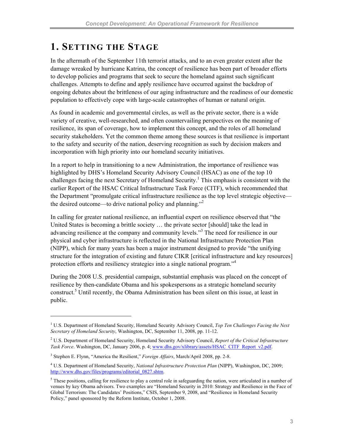## **1. SETTING THE STAGE**

In the aftermath of the September 11th terrorist attacks, and to an even greater extent after the damage wreaked by hurricane Katrina, the concept of resilience has been part of broader efforts to develop policies and programs that seek to secure the homeland against such significant challenges. Attempts to define and apply resilience have occurred against the backdrop of ongoing debates about the brittleness of our aging infrastructure and the readiness of our domestic population to effectively cope with large-scale catastrophes of human or natural origin.

As found in academic and governmental circles, as well as the private sector, there is a wide variety of creative, well-researched, and often countervailing perspectives on the meaning of resilience, its span of coverage, how to implement this concept, and the roles of all homeland security stakeholders. Yet the common theme among these sources is that resilience is important to the safety and security of the nation, deserving recognition as such by decision makers and incorporation with high priority into our homeland security initiatives.

In a report to help in transitioning to a new Administration, the importance of resilience was highlighted by DHS's Homeland Security Advisory Council (HSAC) as one of the top 10 challenges facing the next Secretary of Homeland Security.<sup>1</sup> This emphasis is consistent with the earlier Report of the HSAC Critical Infrastructure Task Force (CITF), which recommended that the Department "promulgate critical infrastructure resilience as the top level strategic objective the desired outcome—to drive national policy and planning."<sup>2</sup>

In calling for greater national resilience, an influential expert on resilience observed that "the United States is becoming a brittle society … the private sector [should] take the lead in advancing resilience at the company and community levels."<sup>3</sup> The need for resilience in our physical and cyber infrastructure is reflected in the National Infrastructure Protection Plan (NIPP), which for many years has been a major instrument designed to provide "the unifying structure for the integration of existing and future CIKR [critical infrastructure and key resources] protection efforts and resiliency strategie*s* into a single national program."<sup>4</sup>

During the 2008 U.S. presidential campaign, substantial emphasis was placed on the concept of resilience by then-candidate Obama and his spokespersons as a strategic homeland security construct.<sup>5</sup> Until recently, the Obama Administration has been silent on this issue, at least in public.

<sup>&</sup>lt;sup>1</sup> U.S. Department of Homeland Security, Homeland Security Advisory Council, *Top Ten Challenges Facing the Next Secretary of Homeland Security*, Washington, DC, September 11, 2008, pp. 11-12.

<sup>2</sup> U.S. Department of Homeland Security, Homeland Security Advisory Council, *Report of the Critical Infrastructure Task Force*. Washington, DC, January 2006, p. 4; www.dhs.gov/xlibrary/assets/HSAC\_CITF\_Report\_v2.pdf.

<sup>3</sup> Stephen E. Flynn, "America the Resilient," *Foreign Affairs*, March/April 2008, pp. 2-8.

<sup>4</sup> U.S. Department of Homeland Security, *National Infrastructure Protection Plan* (NIPP), Washington, DC, 2009; http://www.dhs.gov/files/programs/editorial\_0827.shtm.

 $<sup>5</sup>$  These positions, calling for resilience to play a central role in safeguarding the nation, were articulated in a number of</sup> venues by key Obama advisors. Two examples are "Homeland Security in 2010: Strategy and Resilience in the Face of Global Terrorism: The Candidates' Positions," CSIS, September 9, 2008, and "Resilience in Homeland Security Policy," panel sponsored by the Reform Institute, October 1, 2008.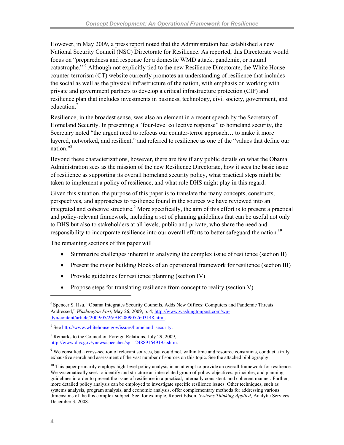However, in May 2009, a press report noted that the Administration had established a new National Security Council (NSC) Directorate for Resilience. As reported, this Directorate would focus on "preparedness and response for a domestic WMD attack, pandemic, or natural catastrophe." <sup>6</sup> Although not explicitly tied to the new Resilience Directorate, the White House counter-terrorism (CT) website currently promotes an understanding of resilience that includes the social as well as the physical infrastructure of the nation, with emphasis on working with private and government partners to develop a critical infrastructure protection (CIP) and resilience plan that includes investments in business, technology, civil society, government, and education<sup>7</sup>

Resilience, in the broadest sense, was also an element in a recent speech by the Secretary of Homeland Security. In presenting a "four-level collective response" to homeland security, the Secretary noted "the urgent need to refocus our counter-terror approach… to make it more layered, networked, and resilient," and referred to resilience as one of the "values that define our nation."8

Beyond these characterizations, however, there are few if any public details on what the Obama Administration sees as the mission of the new Resilience Directorate, how it sees the basic issue of resilience as supporting its overall homeland security policy, what practical steps might be taken to implement a policy of resilience, and what role DHS might play in this regard.

Given this situation, the purpose of this paper is to translate the many concepts, constructs, perspectives, and approaches to resilience found in the sources we have reviewed into an integrated and cohesive structure.<sup>9</sup> More specifically, the aim of this effort is to present a practical and policy-relevant framework, including a set of planning guidelines that can be useful not only to DHS but also to stakeholders at all levels, public and private, who share the need and responsibility to incorporate resilience into our overall efforts to better safeguard the nation.**<sup>10</sup>**

The remaining sections of this paper will

- Summarize challenges inherent in analyzing the complex issue of resilience (section II)
- Present the major building blocks of an operational framework for resilience (section III)
- Provide guidelines for resilience planning (section IV)
- Propose steps for translating resilience from concept to reality (section V)

<sup>6</sup> Spencer S. Hsu, "Obama Integrates Security Councils, Adds New Offices: Computers and Pandemic Threats Addressed," *Washington Post*, May 26, 2009, p. 4; http://www.washingtonpost.com/wpdyn/content/article/2009/05/26/AR2009052603148.html.

<sup>&</sup>lt;sup>7</sup> See http://www.whitehouse.gov/issues/homeland\_security.

<sup>8</sup> Remarks to the Council on Foreign Relations, July 29, 2009, http://www.dhs.gov/ynews/speeches/sp\_1248891649195.shtm.

<sup>&</sup>lt;sup>9</sup> We consulted a cross-section of relevant sources, but could not, within time and resource constraints, conduct a truly exhaustive search and assessment of the vast number of sources on this topic. See the attached bibliography.

 $10$  This paper primarily employs high-level policy analysis in an attempt to provide an overall framework for resilience. We systematically seek to identify and structure an interrelated group of policy objectives, principles, and planning guidelines in order to present the issue of resilience in a practical, internally consistent, and coherent manner. Further, more detailed policy analysis can be employed to investigate specific resilience issues. Other techniques, such as systems analysis, program analysis, and economic analysis, offer complementary methods for addressing various dimensions of the this complex subject. See, for example, Robert Edson, *Systems Thinking Applied*, Analytic Services, December 3, 2008.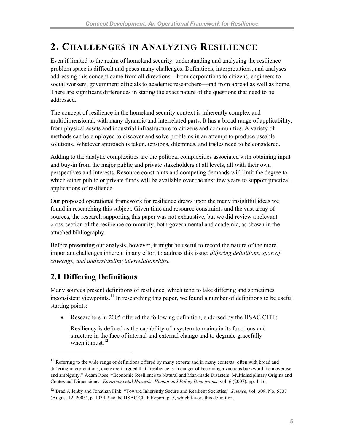## **2. CHALLENGES IN ANALYZING RESILIENCE**

Even if limited to the realm of homeland security, understanding and analyzing the resilience problem space is difficult and poses many challenges. Definitions, interpretations, and analyses addressing this concept come from all directions—from corporations to citizens, engineers to social workers, government officials to academic researchers—and from abroad as well as home. There are significant differences in stating the exact nature of the questions that need to be addressed.

The concept of resilience in the homeland security context is inherently complex and multidimensional, with many dynamic and interrelated parts. It has a broad range of applicability, from physical assets and industrial infrastructure to citizens and communities. A variety of methods can be employed to discover and solve problems in an attempt to produce useable solutions. Whatever approach is taken, tensions, dilemmas, and trades need to be considered.

Adding to the analytic complexities are the political complexities associated with obtaining input and buy-in from the major public and private stakeholders at all levels, all with their own perspectives and interests. Resource constraints and competing demands will limit the degree to which either public or private funds will be available over the next few years to support practical applications of resilience.

Our proposed operational framework for resilience draws upon the many insightful ideas we found in researching this subject. Given time and resource constraints and the vast array of sources, the research supporting this paper was not exhaustive, but we did review a relevant cross-section of the resilience community, both governmental and academic, as shown in the attached bibliography.

Before presenting our analysis, however, it might be useful to record the nature of the more important challenges inherent in any effort to address this issue: *differing definitions, span of coverage, and understanding interrelationships.*

### **2.1 Differing Definitions**

 $\overline{a}$ 

Many sources present definitions of resilience, which tend to take differing and sometimes inconsistent viewpoints.<sup>11</sup> In researching this paper, we found a number of definitions to be useful starting points:

• Researchers in 2005 offered the following definition, endorsed by the HSAC CITF:

Resiliency is defined as the capability of a system to maintain its functions and structure in the face of internal and external change and to degrade gracefully when it must. $^{12}$ 

<sup>&</sup>lt;sup>11</sup> Referring to the wide range of definitions offered by many experts and in many contexts, often with broad and differing interpretations, one expert argued that "resilience is in danger of becoming a vacuous buzzword from overuse and ambiguity." Adam Rose, "Economic Resilience to Natural and Man-made Disasters: Multidisciplinary Origins and Contextual Dimensions," *Environmental Hazards: Human and Policy Dimensions*, vol. 6 (2007), pp. 1-16.

<sup>&</sup>lt;sup>12</sup> Brad Allenby and Jonathan Fink. "Toward Inherently Secure and Resilient Societies," *Science*, vol. 309, No. 5737 (August 12, 2005), p. 1034. See the HSAC CITF Report, p. 5, which favors this definition.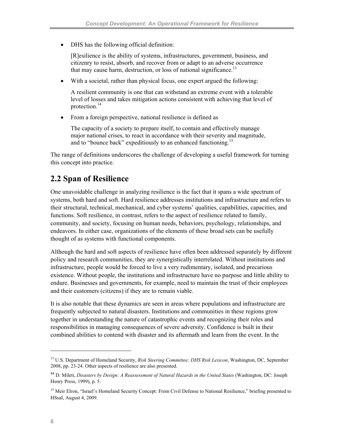• DHS has the following official definition:

[R]esilience is the ability of systems, infrastructures, government, business, and citizenry to resist, absorb, and recover from or adapt to an adverse occurrence that may cause harm, destruction, or loss of national significance.<sup>13</sup>

• With a societal, rather than physical focus, one expert argued the following:

A resilient community is one that can withstand an extreme event with a tolerable level of losses and takes mitigation actions consistent with achieving that level of protection.14

• From a foreign perspective, national resilience is defined as

The capacity of a society to prepare itself, to contain and effectively manage major national crises, to react in accordance with their severity and magnitude, and to "bounce back" expeditiously to an enhanced functioning.<sup>15</sup>

The range of definitions underscores the challenge of developing a useful framework for turning this concept into practice.

### **2.2 Span of Resilience**

One unavoidable challenge in analyzing resilience is the fact that it spans a wide spectrum of systems, both hard and soft. Hard resilience addresses institutions and infrastructure and refers to their structural, technical, mechanical, and cyber systems' qualities, capabilities, capacities, and functions. Soft resilience, in contrast, refers to the aspect of resilience related to family, community, and society, focusing on human needs, behaviors, psychology, relationships, and endeavors. In either case, organizations of the elements of these broad sets can be usefully thought of as systems with functional components.

Although the hard and soft aspects of resilience have often been addressed separately by different policy and research communities, they are synergistically interrelated. Without institutions and infrastructure, people would be forced to live a very rudimentary, isolated, and precarious existence. Without people, the institutions and infrastructure have no purpose and little ability to endure. Businesses and governments, for example, need to maintain the trust of their employees and their customers (citizens) if they are to remain viable.

It is also notable that these dynamics are seen in areas where populations and infrastructure are frequently subjected to natural disasters. Institutions and communities in these regions grow together in understanding the nature of catastrophic events and recognizing their roles and responsibilities in managing consequences of severe adversity. Confidence is built in their combined abilities to contend with disaster and its aftermath and learn from the event. In the

<sup>13</sup> U.S. Department of Homeland Security, *Risk Steering Committee; DHS Risk Lexicon*, Washington, DC, September 2008, pp. 23-24. Other aspects of resilience are also presented.

**<sup>14</sup>** D. Mileti, *Disasters by Design: A Reassessment of Natural Hazards in the United States* (Washington, DC: Joseph Henry Press, 1999), p. 5.

<sup>&</sup>lt;sup>15</sup> Meir Elron, "Israel's Homeland Security Concept: From Civil Defense to National Resilience," briefing presented to HSsaI, August 4, 2009.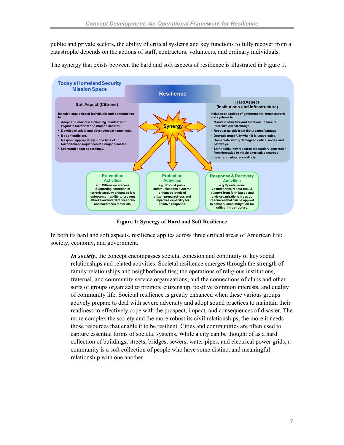public and private sectors, the ability of critical systems and key functions to fully recover from a catastrophe depends on the actions of staff, contractors, volunteers, and ordinary individuals.

The synergy that exists between the hard and soft aspects of resilience is illustrated in Figure 1.



**Figure 1: Synergy of Hard and Soft Resilience** 

In both its hard and soft aspects, resilience applies across three critical areas of American life: society, economy, and government.

*In society***,** the concept encompasses societal cohesion and continuity of key social relationships and related activities. Societal resilience emerges through the strength of family relationships and neighborhood ties; the operations of religious institutions, fraternal, and community service organizations; and the connections of clubs and other sorts of groups organized to promote citizenship, positive common interests, and quality of community life. Societal resilience is greatly enhanced when these various groups actively prepare to deal with severe adversity and adopt sound practices to maintain their readiness to effectively cope with the prospect, impact, and consequences of disaster. The more complex the society and the more robust its civil relationships, the more it needs those resources that enable it to be resilient. Cities and communities are often used to capture essential forms of societal systems. While a city can be thought of as a hard collection of buildings, streets, bridges, sewers, water pipes, and electrical power grids, a community is a soft collection of people who have some distinct and meaningful relationship with one another.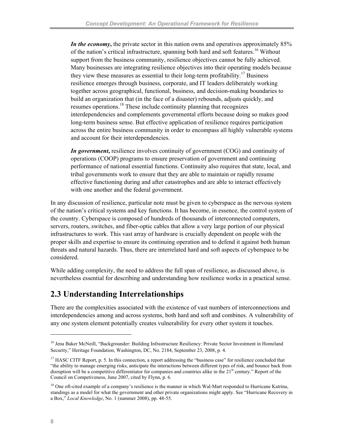*In the economy*, the private sector in this nation owns and operatives approximately 85% of the nation's critical infrastructure, spanning both hard and soft features.<sup>16</sup> Without support from the business community, resilience objectives cannot be fully achieved. Many businesses are integrating resilience objectives into their operating models because they view these measures as essential to their long-term profitability.<sup>17</sup> Business resilience emerges through business, corporate, and IT leaders deliberately working together across geographical, functional, business, and decision-making boundaries to build an organization that (in the face of a disaster) rebounds, adjusts quickly, and resumes operations.<sup>18</sup> These include continuity planning that recognizes interdependencies and complements governmental efforts because doing so makes good long-term business sense. But effective application of resilience requires participation across the entire business community in order to encompass all highly vulnerable systems and account for their interdependencies.

*In government*, resilience involves continuity of government (COG) and continuity of operations (COOP) programs to ensure preservation of government and continuing performance of national essential functions. Continuity also requires that state, local, and tribal governments work to ensure that they are able to maintain or rapidly resume effective functioning during and after catastrophes and are able to interact effectively with one another and the federal government.

In any discussion of resilience, particular note must be given to cyberspace as the nervous system of the nation's critical systems and key functions. It has become, in essence, the control system of the country. Cyberspace is composed of hundreds of thousands of interconnected computers, servers, routers, switches, and fiber-optic cables that allow a very large portion of our physical infrastructures to work. This vast array of hardware is crucially dependent on people with the proper skills and expertise to ensure its continuing operation and to defend it against both human threats and natural hazards. Thus, there are interrelated hard and soft aspects of cyberspace to be considered.

While adding complexity, the need to address the full span of resilience, as discussed above, is nevertheless essential for describing and understanding how resilience works in a practical sense.

### **2.3 Understanding Interrelationships**

There are the complexities associated with the existence of vast numbers of interconnections and interdependencies among and across systems, both hard and soft and combines. A vulnerability of any one system element potentially creates vulnerability for every other system it touches.

<sup>&</sup>lt;sup>16</sup> Jena Baker McNeill, "Backgrounder: Building Infrastructure Resiliency: Private Sector Investment in Homeland Security," Heritage Foundation, Washington, DC, No. 2184, September 23, 2008, p. 4.

 $17$  HASC CITF Report, p. 5. In this connection, a report addressing the "business case" for resilience concluded that "the ability to manage emerging risks, anticipate the interactions between different types of risk, and bounce back from disruption will be a competitive differentiator for companies and countries alike in the 21<sup>st</sup> century." Report of the Council on Competiveness, June 2007, cited by Flynn, p. 6.

<sup>&</sup>lt;sup>18</sup> One oft-cited example of a company's resilience is the manner in which Wal-Mart responded to Hurricane Katrina, standings as a model for what the government and other private organizations might apply. See "Hurricane Recovery in a Box," *Local Knowledge*, No. 1 (summer 2008), pp. 48-55.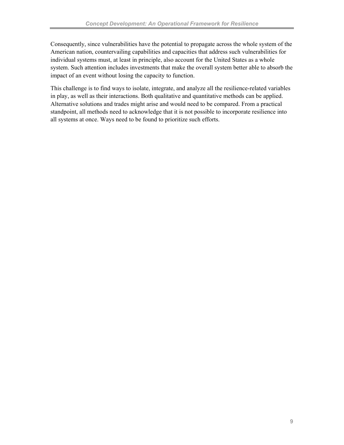Consequently, since vulnerabilities have the potential to propagate across the whole system of the American nation, countervailing capabilities and capacities that address such vulnerabilities for individual systems must, at least in principle, also account for the United States as a whole system. Such attention includes investments that make the overall system better able to absorb the impact of an event without losing the capacity to function.

This challenge is to find ways to isolate, integrate, and analyze all the resilience-related variables in play, as well as their interactions. Both qualitative and quantitative methods can be applied. Alternative solutions and trades might arise and would need to be compared. From a practical standpoint, all methods need to acknowledge that it is not possible to incorporate resilience into all systems at once. Ways need to be found to prioritize such efforts.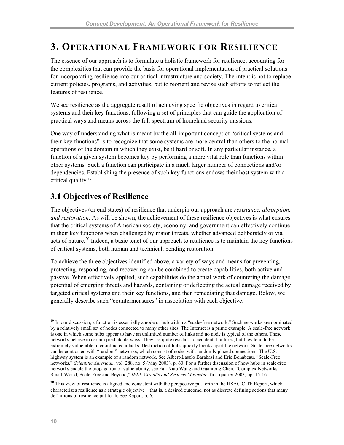## **3. OPERATIONAL FRAMEWORK FOR RESILIENCE**

The essence of our approach is to formulate a holistic framework for resilience, accounting for the complexities that can provide the basis for operational implementation of practical solutions for incorporating resilience into our critical infrastructure and society. The intent is not to replace current policies, programs, and activities, but to reorient and revise such efforts to reflect the features of resilience.

We see resilience as the aggregate result of achieving specific objectives in regard to critical systems and their key functions, following a set of principles that can guide the application of practical ways and means across the full spectrum of homeland security missions.

One way of understanding what is meant by the all-important concept of "critical systems and their key functions" is to recognize that some systems are more central than others to the normal operations of the domain in which they exist, be it hard or soft. In any particular instance, a function of a given system becomes key by performing a more vital role than functions within other systems. Such a function can participate in a much larger number of connections and/or dependencies. Establishing the presence of such key functions endows their host system with a critical quality.19

### **3.1 Objectives of Resilience**

The objectives (or end states) of resilience that underpin our approach are *resistance, absorption, and restoration.* As will be shown, the achievement of these resilience objectives is what ensures that the critical systems of American society, economy, and government can effectively continue in their key functions when challenged by major threats, whether advanced deliberately or via acts of nature.<sup>20</sup> Indeed, a basic tenet of our approach to resilience is to maintain the key functions of critical systems, both human and technical, pending restoration.

To achieve the three objectives identified above, a variety of ways and means for preventing, protecting, responding, and recovering can be combined to create capabilities, both active and passive. When effectively applied, such capabilities do the actual work of countering the damage potential of emerging threats and hazards, containing or deflecting the actual damage received by targeted critical systems and their key functions, and then remediating that damage. Below, we generally describe such "countermeasures" in association with each objective.

<sup>&</sup>lt;sup>19</sup> In our discussion, a function is essentially a node or hub within a "scale-free network." Such networks are dominated by a relatively small set of nodes connected to many other sites. The Internet is a prime example. A scale-free network is one in which some hubs appear to have an unlimited number of links and no node is typical of the others. These networks behave in certain predictable ways. They are quite resistant to accidental failures, but they tend to be extremely vulnerable to coordinated attacks. Destruction of hubs quickly breaks apart the network. Scale-free networks can be contrasted with "random" networks, which consist of nodes with randomly placed connections. The U.S. highway system is an example of a random network. See Albert-Laszlo Barabasi and Eric Bonabeau, "Scale-Free networks," *Scientific American*, vol. 288, no. 5 (May 2003), p. 60. For a further discussion of how hubs in scale-free networks enable the propagation of vulnerability, see Fan Xiao Wang and Guanrong Chen, "Complex Networks: Small-World, Scale-Free and Beyond," *IEEE Circuits and Systems Magazine*, first quarter 2003, pp. 15-16.

<sup>&</sup>lt;sup>20</sup> This view of resilience is aligned and consistent with the perspective put forth in the HSAC CITF Report, which characterizes resilience as a strategic objective—that is, a desired outcome, not as discrete defining actions that many definitions of resilience put forth. See Report, p. 6.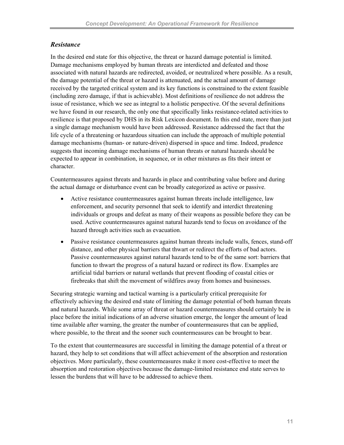#### *Resistance*

In the desired end state for this objective, the threat or hazard damage potential is limited. Damage mechanisms employed by human threats are interdicted and defeated and those associated with natural hazards are redirected, avoided, or neutralized where possible. As a result, the damage potential of the threat or hazard is attenuated, and the actual amount of damage received by the targeted critical system and its key functions is constrained to the extent feasible (including zero damage, if that is achievable). Most definitions of resilience do not address the issue of resistance, which we see as integral to a holistic perspective. Of the several definitions we have found in our research, the only one that specifically links resistance-related activities to resilience is that proposed by DHS in its Risk Lexicon document. In this end state, more than just a single damage mechanism would have been addressed. Resistance addressed the fact that the life cycle of a threatening or hazardous situation can include the approach of multiple potential damage mechanisms (human- or nature-driven) dispersed in space and time. Indeed, prudence suggests that incoming damage mechanisms of human threats or natural hazards should be expected to appear in combination, in sequence, or in other mixtures as fits their intent or character.

Countermeasures against threats and hazards in place and contributing value before and during the actual damage or disturbance event can be broadly categorized as active or passive.

- Active resistance countermeasures against human threats include intelligence, law enforcement, and security personnel that seek to identify and interdict threatening individuals or groups and defeat as many of their weapons as possible before they can be used. Active countermeasures against natural hazards tend to focus on avoidance of the hazard through activities such as evacuation.
- Passive resistance countermeasures against human threats include walls, fences, stand-off distance, and other physical barriers that thwart or redirect the efforts of bad actors. Passive countermeasures against natural hazards tend to be of the same sort: barriers that function to thwart the progress of a natural hazard or redirect its flow. Examples are artificial tidal barriers or natural wetlands that prevent flooding of coastal cities or firebreaks that shift the movement of wildfires away from homes and businesses.

Securing strategic warning and tactical warning is a particularly critical prerequisite for effectively achieving the desired end state of limiting the damage potential of both human threats and natural hazards. While some array of threat or hazard countermeasures should certainly be in place before the initial indications of an adverse situation emerge, the longer the amount of lead time available after warning, the greater the number of countermeasures that can be applied, where possible, to the threat and the sooner such countermeasures can be brought to bear.

To the extent that countermeasures are successful in limiting the damage potential of a threat or hazard, they help to set conditions that will affect achievement of the absorption and restoration objectives. More particularly, these countermeasures make it more cost-effective to meet the absorption and restoration objectives because the damage-limited resistance end state serves to lessen the burdens that will have to be addressed to achieve them.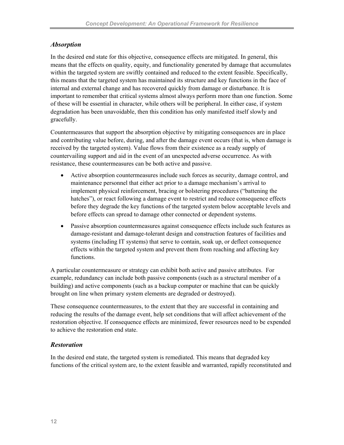#### *Absorption*

In the desired end state for this objective, consequence effects are mitigated. In general, this means that the effects on quality, equity, and functionality generated by damage that accumulates within the targeted system are swiftly contained and reduced to the extent feasible. Specifically, this means that the targeted system has maintained its structure and key functions in the face of internal and external change and has recovered quickly from damage or disturbance. It is important to remember that critical systems almost always perform more than one function. Some of these will be essential in character, while others will be peripheral. In either case, if system degradation has been unavoidable, then this condition has only manifested itself slowly and gracefully.

Countermeasures that support the absorption objective by mitigating consequences are in place and contributing value before, during, and after the damage event occurs (that is, when damage is received by the targeted system). Value flows from their existence as a ready supply of countervailing support and aid in the event of an unexpected adverse occurrence. As with resistance, these countermeasures can be both active and passive.

- Active absorption countermeasures include such forces as security, damage control, and maintenance personnel that either act prior to a damage mechanism's arrival to implement physical reinforcement, bracing or bolstering procedures ("battening the hatches"), or react following a damage event to restrict and reduce consequence effects before they degrade the key functions of the targeted system below acceptable levels and before effects can spread to damage other connected or dependent systems.
- Passive absorption countermeasures against consequence effects include such features as damage-resistant and damage-tolerant design and construction features of facilities and systems (including IT systems) that serve to contain, soak up, or deflect consequence effects within the targeted system and prevent them from reaching and affecting key functions.

A particular countermeasure or strategy can exhibit both active and passive attributes. For example, redundancy can include both passive components (such as a structural member of a building) and active components (such as a backup computer or machine that can be quickly brought on line when primary system elements are degraded or destroyed).

These consequence countermeasures, to the extent that they are successful in containing and reducing the results of the damage event, help set conditions that will affect achievement of the restoration objective. If consequence effects are minimized, fewer resources need to be expended to achieve the restoration end state.

#### *Restoration*

In the desired end state, the targeted system is remediated. This means that degraded key functions of the critical system are, to the extent feasible and warranted, rapidly reconstituted and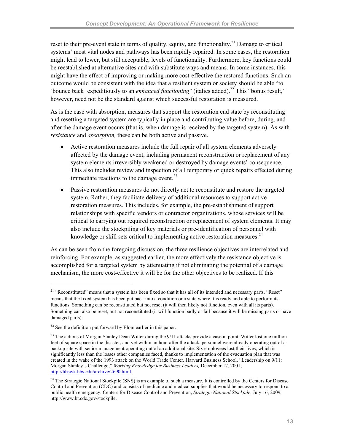reset to their pre-event state in terms of quality, equity, and functionality.<sup>21</sup> Damage to critical systems' most vital nodes and pathways has been rapidly repaired. In some cases, the restoration might lead to lower, but still acceptable, levels of functionality. Furthermore, key functions could be reestablished at alternative sites and with substitute ways and means. In some instances, this might have the effect of improving or making more cost-effective the restored functions. Such an outcome would be consistent with the idea that a resilient system or society should be able "to 'bounce back' expeditiously to an *enhanced functioning*" (italics added).<sup>22</sup> This "bonus result." however, need not be the standard against which successful restoration is measured.

As is the case with absorption, measures that support the restoration end state by reconstituting and resetting a targeted system are typically in place and contributing value before, during, and after the damage event occurs (that is, when damage is received by the targeted system). As with *resistance* and *absorption,* these can be both active and passive.

- Active restoration measures include the full repair of all system elements adversely affected by the damage event, including permanent reconstruction or replacement of any system elements irreversibly weakened or destroyed by damage events' consequence. This also includes review and inspection of all temporary or quick repairs effected during immediate reactions to the damage event.<sup>23</sup>
- Passive restoration measures do not directly act to reconstitute and restore the targeted system. Rather, they facilitate delivery of additional resources to support active restoration measures. This includes, for example, the pre-establishment of support relationships with specific vendors or contractor organizations, whose services will be critical to carrying out required reconstruction or replacement of system elements. It may also include the stockpiling of key materials or pre-identification of personnel with knowledge or skill sets critical to implementing active restoration measures.<sup>24</sup>

As can be seen from the foregoing discussion, the three resilience objectives are interrelated and reinforcing. For example, as suggested earlier, the more effectively the resistance objective is accomplished for a targeted system by attenuating if not eliminating the potential of a damage mechanism, the more cost-effective it will be for the other objectives to be realized. If this

<sup>&</sup>lt;sup>21</sup> "Reconstituted" means that a system has been fixed so that it has all of its intended and necessary parts. "Reset" means that the fixed system has been put back into a condition or a state where it is ready and able to perform its functions. Something can be reconstituted but not reset (it will then likely not function, even with all its parts). Something can also be reset, but not reconstituted (it will function badly or fail because it will be missing parts or have damaged parts).

<sup>&</sup>lt;sup>22</sup> See the definition put forward by Elran earlier in this paper.

 $23$  The actions of Morgan Stanley Dean Witter during the  $9/11$  attacks provide a case in point. Witter lost one million feet of square space in the disaster, and yet within an hour after the attack, personnel were already operating out of a backup site with senior management operating out of an additional site. Six employees lost their lives, which is significantly less than the losses other companies faced, thanks to implementation of the evacuation plan that was created in the wake of the 1993 attack on the World Trade Center. Harvard Business School, "Leadership on 9/11: Morgan Stanley's Challenge," *Working Knowledge for Business Leaders,* December 17, 2001; http://hbswk.hbs.edu/archive/2690.html.

<sup>&</sup>lt;sup>24</sup> The Strategic National Stockpile (SNS) is an example of such a measure. It is controlled by the Centers for Disease Control and Prevention (CDC) and consists of medicine and medical supplies that would be necessary to respond to a public health emergency. Centers for Disease Control and Prevention, *Strategic National Stockpile*, July 16, 2009; http://www.bt.cdc.gov/stockpile.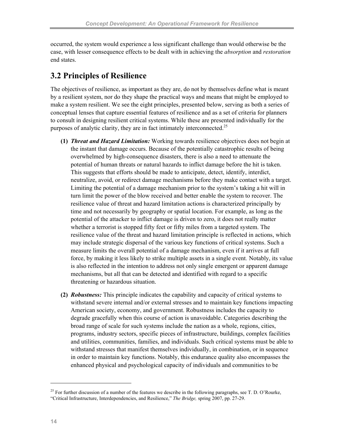occurred, the system would experience a less significant challenge than would otherwise be the case, with lesser consequence effects to be dealt with in achieving the *absorption* and *restoration*  end states.

#### **3.2 Principles of Resilience**

The objectives of resilience, as important as they are, do not by themselves define what is meant by a resilient system, nor do they shape the practical ways and means that might be employed to make a system resilient. We see the eight principles, presented below, serving as both a series of conceptual lenses that capture essential features of resilience and as a set of criteria for planners to consult in designing resilient critical systems. While these are presented individually for the purposes of analytic clarity, they are in fact intimately interconnected.<sup>25</sup>

- **(1)** *Threat and Hazard Limitation:* Working towards resilience objectives does not begin at the instant that damage occurs. Because of the potentially catastrophic results of being overwhelmed by high-consequence disasters, there is also a need to attenuate the potential of human threats or natural hazards to inflict damage before the hit is taken. This suggests that efforts should be made to anticipate, detect, identify, interdict, neutralize, avoid, or redirect damage mechanisms before they make contact with a target. Limiting the potential of a damage mechanism prior to the system's taking a hit will in turn limit the power of the blow received and better enable the system to recover. The resilience value of threat and hazard limitation actions is characterized principally by time and not necessarily by geography or spatial location. For example, as long as the potential of the attacker to inflict damage is driven to zero, it does not really matter whether a terrorist is stopped fifty feet or fifty miles from a targeted system. The resilience value of the threat and hazard limitation principle is reflected in actions, which may include strategic dispersal of the various key functions of critical systems. Such a measure limits the overall potential of a damage mechanism, even if it arrives at full force, by making it less likely to strike multiple assets in a single event. Notably, its value is also reflected in the intention to address not only single emergent or apparent damage mechanisms, but all that can be detected and identified with regard to a specific threatening or hazardous situation.
- **(2)** *Robustness:* This principle indicates the capability and capacity of critical systems to withstand severe internal and/or external stresses and to maintain key functions impacting American society, economy, and government. Robustness includes the capacity to degrade gracefully when this course of action is unavoidable. Categories describing the broad range of scale for such systems include the nation as a whole, regions, cities, programs, industry sectors, specific pieces of infrastructure, buildings, complex facilities and utilities, communities, families, and individuals. Such critical systems must be able to withstand stresses that manifest themselves individually, in combination, or in sequence in order to maintain key functions. Notably, this endurance quality also encompasses the enhanced physical and psychological capacity of individuals and communities to be

<sup>&</sup>lt;sup>25</sup> For further discussion of a number of the features we describe in the following paragraphs, see T. D. O'Rourke, "Critical Infrastructure, Interdependencies, and Resilience," *The Bridge,* spring 2007, pp. 27-29.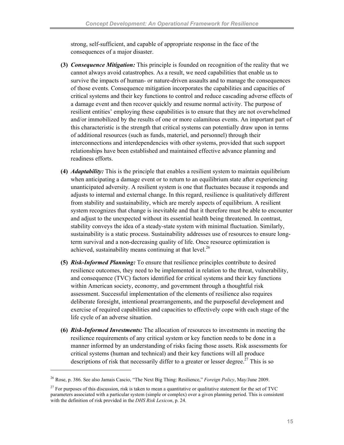strong, self-sufficient, and capable of appropriate response in the face of the consequences of a major disaster.

- **(3)** *Consequence Mitigation:* This principle is founded on recognition of the reality that we cannot always avoid catastrophes. As a result, we need capabilities that enable us to survive the impacts of human- or nature-driven assaults and to manage the consequences of those events. Consequence mitigation incorporates the capabilities and capacities of critical systems and their key functions to control and reduce cascading adverse effects of a damage event and then recover quickly and resume normal activity. The purpose of resilient entities' employing these capabilities is to ensure that they are not overwhelmed and/or immobilized by the results of one or more calamitous events. An important part of this characteristic is the strength that critical systems can potentially draw upon in terms of additional resources (such as funds, materiel, and personnel) through their interconnections and interdependencies with other systems, provided that such support relationships have been established and maintained effective advance planning and readiness efforts.
- **(4)** *Adaptability:* This is the principle that enables a resilient system to maintain equilibrium when anticipating a damage event or to return to an equilibrium state after experiencing unanticipated adversity. A resilient system is one that fluctuates because it responds and adjusts to internal and external change. In this regard, resilience is qualitatively different from stability and sustainability, which are merely aspects of equilibrium. A resilient system recognizes that change is inevitable and that it therefore must be able to encounter and adjust to the unexpected without its essential health being threatened. In contrast, stability conveys the idea of a steady-state system with minimal fluctuation. Similarly, sustainability is a static process. Sustainability addresses use of resources to ensure longterm survival and a non-decreasing quality of life. Once resource optimization is achieved, sustainability means continuing at that level.<sup>26</sup>
- **(5)** *Risk-Informed Planning:* To ensure that resilience principles contribute to desired resilience outcomes, they need to be implemented in relation to the threat, vulnerability, and consequence (TVC) factors identified for critical systems and their key functions within American society, economy, and government through a thoughtful risk assessment. Successful implementation of the elements of resilience also requires deliberate foresight, intentional prearrangements, and the purposeful development and exercise of required capabilities and capacities to effectively cope with each stage of the life cycle of an adverse situation.
- **(6)** *Risk-Informed Investments:* The allocation of resources to investments in meeting the resilience requirements of any critical system or key function needs to be done in a manner informed by an understanding of risks facing those assets. Risk assessments for critical systems (human and technical) and their key functions will all produce descriptions of risk that necessarily differ to a greater or lesser degree.<sup>27</sup> This is so

<sup>26</sup> Rose, p. 386. See also Jamais Cascio, "The Next Big Thing: Resilience," *Foreign Policy*, May/June 2009.

 $27$  For purposes of this discussion, risk is taken to mean a quantitative or qualitative statement for the set of TVC parameters associated with a particular system (simple or complex) over a given planning period. This is consistent with the definition of risk provided in the *DHS Risk Lexicon*, p. 24.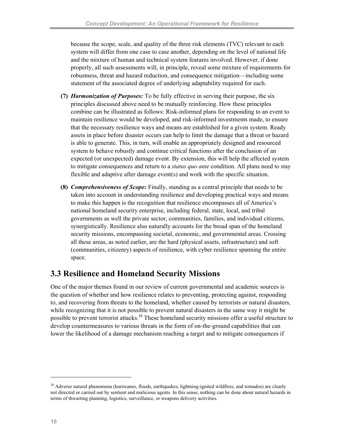because the scope, scale, and quality of the three risk elements (TVC) relevant to each system will differ from one case to case another, depending on the level of national life and the mixture of human and technical system features involved. However, if done properly, all such assessments will, in principle, reveal some mixture of requirements for robustness, threat and hazard reduction, and consequence mitigation—including some statement of the associated degree of underlying adaptability required for each.

- **(7)** *Harmonization of Purposes:* To be fully effective in serving their purpose, the six principles discussed above need to be mutually reinforcing. How these principles combine can be illustrated as follows: Risk-informed plans for responding to an event to maintain resilience would be developed, and risk-informed investments made, to ensure that the necessary resilience ways and means are established for a given system. Ready assets in place before disaster occurs can help to limit the damage that a threat or hazard is able to generate. This, in turn, will enable an appropriately designed and resourced system to behave robustly and continue critical functions after the conclusion of an expected (or unexpected) damage event. By extension, this will help the affected system to mitigate consequences and return to a *status quo ante* condition. All plans need to stay flexible and adaptive after damage event(s) and work with the specific situation.
- **(8)** *Comprehensiveness of Scope:* Finally, standing as a central principle that needs to be taken into account in understanding resilience and developing practical ways and means to make this happen is the recognition that resilience encompasses all of America's national homeland security enterprise, including federal, state, local, and tribal governments as well the private sector, communities, families, and individual citizens, synergistically. Resilience also naturally accounts for the broad span of the homeland security missions, encompassing societal, economic, and governmental areas. Crossing all these areas, as noted earlier, are the hard (physical assets, infrastructure) and soft (communities, citizenry) aspects of resilience, with cyber resilience spanning the entire space.

#### **3.3 Resilience and Homeland Security Missions**

One of the major themes found in our review of current governmental and academic sources is the question of whether and how resilience relates to preventing, protecting against, responding to, and recovering from threats to the homeland, whether caused by terrorists or natural disasters, while recognizing that it is not possible to prevent natural disasters in the same way it might be possible to prevent terrorist attacks.<sup>28</sup> These homeland security missions offer a useful structure to develop countermeasures to various threats in the form of on-the-ground capabilities that can lower the likelihood of a damage mechanism reaching a target and to mitigate consequences if

<sup>&</sup>lt;sup>28</sup> Adverse natural phenomena (hurricanes, floods, earthquakes, lightning-ignited wildfires, and tornados) are clearly not directed or carried out by sentient and malicious agents. In this sense, nothing can be done about natural hazards in terms of thwarting planning, logistics, surveillance, or weapons delivery activities.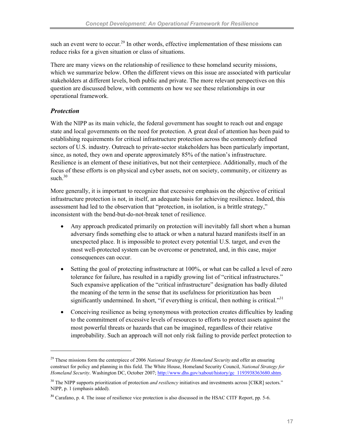such an event were to occur.<sup>29</sup> In other words, effective implementation of these missions can reduce risks for a given situation or class of situations.

There are many views on the relationship of resilience to these homeland security missions, which we summarize below. Often the different views on this issue are associated with particular stakeholders at different levels, both public and private. The more relevant perspectives on this question are discussed below, with comments on how we see these relationships in our operational framework.

#### *Protection*

 $\overline{a}$ 

With the NIPP as its main vehicle, the federal government has sought to reach out and engage state and local governments on the need for protection. A great deal of attention has been paid to establishing requirements for critical infrastructure protection across the commonly defined sectors of U.S. industry. Outreach to private-sector stakeholders has been particularly important, since, as noted, they own and operate approximately 85% of the nation's infrastructure. Resilience is an element of these initiatives, but not their centerpiece. Additionally, much of the focus of these efforts is on physical and cyber assets, not on society, community, or citizenry as such. $30$ 

More generally, it is important to recognize that excessive emphasis on the objective of critical infrastructure protection is not, in itself, an adequate basis for achieving resilience. Indeed, this assessment had led to the observation that "protection, in isolation, is a brittle strategy," inconsistent with the bend-but-do-not-break tenet of resilience.

- Any approach predicated primarily on protection will inevitably fall short when a human adversary finds something else to attack or when a natural hazard manifests itself in an unexpected place. It is impossible to protect every potential U.S. target, and even the most well-protected system can be overcome or penetrated, and, in this case, major consequences can occur.
- Setting the goal of protecting infrastructure at 100%, or what can be called a level of zero tolerance for failure, has resulted in a rapidly growing list of "critical infrastructures." Such expansive application of the "critical infrastructure" designation has badly diluted the meaning of the term in the sense that its usefulness for prioritization has been significantly undermined. In short, "if everything is critical, then nothing is critical."<sup>31</sup>
- Conceiving resilience as being synonymous with protection creates difficulties by leading to the commitment of excessive levels of resources to efforts to protect assets against the most powerful threats or hazards that can be imagined, regardless of their relative improbability. Such an approach will not only risk failing to provide perfect protection to

<sup>29</sup> These missions form the centerpiece of 2006 *National Strategy for Homeland Security* and offer an ensuring construct for policy and planning in this field. The White House, Homeland Security Council, *National Strategy for Homeland Security*. Washington DC, October 2007; http://www.dhs.gov/xabout/history/gc\_1193938363680.shtm.

<sup>&</sup>lt;sup>30</sup> The NIPP supports prioritization of protection *and resiliency* initiatives and investments across [CIKR] sectors." NIPP, p. 1 (emphasis added).

**<sup>31</sup>** Carafano, p. 4. The issue of resilience vice protection is also discussed in the HSAC CITF Report, pp. 5-6.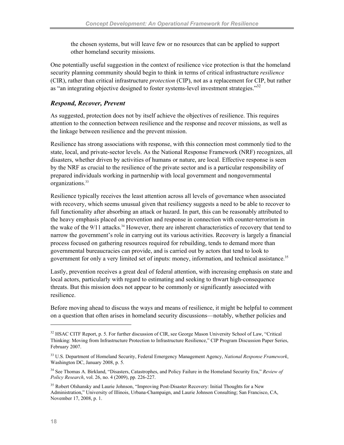the chosen systems, but will leave few or no resources that can be applied to support other homeland security missions.

One potentially useful suggestion in the context of resilience vice protection is that the homeland security planning community should begin to think in terms of critical infrastructure *resilience* (CIR), rather than critical infrastructure *protection* (CIP), not as a replacement for CIP, but rather as "an integrating objective designed to foster systems-level investment strategies."<sup>32</sup>

#### *Respond, Recover, Prevent*

As suggested, protection does not by itself achieve the objectives of resilience. This requires attention to the connection between resilience and the response and recover missions, as well as the linkage between resilience and the prevent mission.

Resilience has strong associations with response, with this connection most commonly tied to the state, local, and private-sector levels. As the National Response Framework (NRF) recognizes, all disasters, whether driven by activities of humans or nature, are local. Effective response is seen by the NRF as crucial to the resilience of the private sector and is a particular responsibility of prepared individuals working in partnership with local government and nongovernmental organizations.<sup>33</sup>

Resilience typically receives the least attention across all levels of governance when associated with recovery, which seems unusual given that resiliency suggests a need to be able to recover to full functionality after absorbing an attack or hazard. In part, this can be reasonably attributed to the heavy emphasis placed on prevention and response in connection with counter-terrorism in the wake of the 9/11 attacks.<sup>34</sup> However, there are inherent characteristics of recovery that tend to narrow the government's role in carrying out its various activities. Recovery is largely a financial process focused on gathering resources required for rebuilding, tends to demand more than governmental bureaucracies can provide, and is carried out by actors that tend to look to government for only a very limited set of inputs: money, information, and technical assistance. 35

Lastly, prevention receives a great deal of federal attention, with increasing emphasis on state and local actors, particularly with regard to estimating and seeking to thwart high-consequence threats. But this mission does not appear to be commonly or significantly associated with resilience.

Before moving ahead to discuss the ways and means of resilience, it might be helpful to comment on a question that often arises in homeland security discussions—notably, whether policies and

<sup>&</sup>lt;sup>32</sup> HSAC CITF Report, p. 5. For further discussion of CIR, see George Mason University School of Law, "Critical Thinking: Moving from Infrastructure Protection to Infrastructure Resilience," CIP Program Discussion Paper Series, February 2007.

<sup>33</sup> U.S. Department of Homeland Security, Federal Emergency Management Agency, *National Response Framework*, Washington DC, January 2008, p. 5.

<sup>34</sup> See Thomas A. Birkland, "Disasters, Catastrophes, and Policy Failure in the Homeland Security Era," *Review of Policy Research*, vol. 26, no. 4 (2009), pp. 226-227.

<sup>&</sup>lt;sup>35</sup> Robert Olshansky and Laurie Johnson, "Improving Post-Disaster Recovery: Initial Thoughts for a New Administration," University of Illinois, Urbana-Champaign, and Laurie Johnson Consulting; San Francisco, CA, November 17, 2008, p. 1.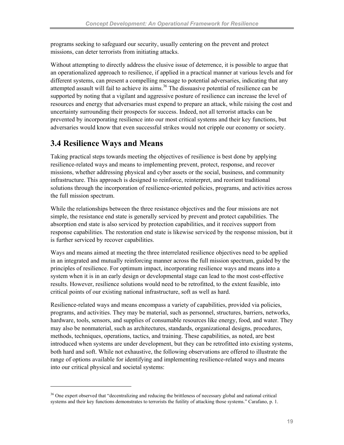programs seeking to safeguard our security, usually centering on the prevent and protect missions, can deter terrorists from initiating attacks.

Without attempting to directly address the elusive issue of deterrence, it is possible to argue that an operationalized approach to resilience, if applied in a practical manner at various levels and for different systems, can present a compelling message to potential adversaries, indicating that any attempted assault will fail to achieve its aims.<sup>36</sup> The dissuasive potential of resilience can be supported by noting that a vigilant and aggressive posture of resilience can increase the level of resources and energy that adversaries must expend to prepare an attack, while raising the cost and uncertainty surrounding their prospects for success. Indeed, not all terrorist attacks can be prevented by incorporating resilience into our most critical systems and their key functions, but adversaries would know that even successful strikes would not cripple our economy or society.

### **3.4 Resilience Ways and Means**

 $\overline{a}$ 

Taking practical steps towards meeting the objectives of resilience is best done by applying resilience-related ways and means to implementing prevent, protect, response, and recover missions, whether addressing physical and cyber assets or the social, business, and community infrastructure. This approach is designed to reinforce, reinterpret, and reorient traditional solutions through the incorporation of resilience-oriented policies, programs, and activities across the full mission spectrum.

While the relationships between the three resistance objectives and the four missions are not simple, the resistance end state is generally serviced by prevent and protect capabilities. The absorption end state is also serviced by protection capabilities, and it receives support from response capabilities. The restoration end state is likewise serviced by the response mission, but it is further serviced by recover capabilities.

Ways and means aimed at meeting the three interrelated resilience objectives need to be applied in an integrated and mutually reinforcing manner across the full mission spectrum, guided by the principles of resilience. For optimum impact, incorporating resilience ways and means into a system when it is in an early design or developmental stage can lead to the most cost-effective results. However, resilience solutions would need to be retrofitted, to the extent feasible, into critical points of our existing national infrastructure, soft as well as hard.

Resilience-related ways and means encompass a variety of capabilities, provided via policies, programs, and activities. They may be material, such as personnel, structures, barriers, networks, hardware, tools, sensors, and supplies of consumable resources like energy, food, and water. They may also be nonmaterial, such as architectures, standards, organizational designs, procedures, methods, techniques, operations, tactics, and training. These capabilities, as noted, are best introduced when systems are under development, but they can be retrofitted into existing systems, both hard and soft. While not exhaustive, the following observations are offered to illustrate the range of options available for identifying and implementing resilience-related ways and means into our critical physical and societal systems:

<sup>&</sup>lt;sup>36</sup> One expert observed that "decentralizing and reducing the brittleness of necessary global and national critical systems and their key functions demonstrates to terrorists the futility of attacking those systems." Carafano, p. 1.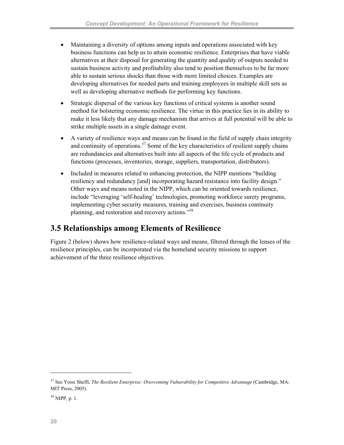- Maintaining a diversity of options among inputs and operations associated with key business functions can help us to attain economic resilience. Enterprises that have viable alternatives at their disposal for generating the quantity and quality of outputs needed to sustain business activity and profitability also tend to position themselves to be far more able to sustain serious shocks than those with more limited choices. Examples are developing alternatives for needed parts and training employees in multiple skill sets as well as developing alternative methods for performing key functions.
- Strategic dispersal of the various key functions of critical systems is another sound method for bolstering economic resilience. The virtue in this practice lies in its ability to make it less likely that any damage mechanism that arrives at full potential will be able to strike multiple assets in a single damage event.
- A variety of resilience ways and means can be found in the field of supply chain integrity and continuity of operations.<sup>37</sup> Some of the key characteristics of resilient supply chains are redundancies and alternatives built into all aspects of the life cycle of products and functions (processes, inventories, storage, suppliers, transportation, distributors).
- Included in measures related to enhancing protection, the NIPP mentions "building resiliency and redundancy [and] incorporating hazard resistance into facility design." Other ways and means noted in the NIPP, which can be oriented towards resilience, include "leveraging 'self-healing' technologies, promoting workforce surety programs, implementing cyber security measures, training and exercises, business continuity planning, and restoration and recovery actions."<sup>38</sup>

### **3.5 Relationships among Elements of Resilience**

Figure 2 (below) shows how resilience-related ways and means, filtered through the lenses of the resilience principles, can be incorporated via the homeland security missions to support achievement of the three resilience objectives.

<sup>&</sup>lt;sup>37</sup> See Yossi Sheffi, *The Resilient Enterprise: Overcoming Vulnerability for Competitive Advantage* (Cambridge, MA: MIT Press, 2005).

<sup>38</sup> NIPP, p. 1.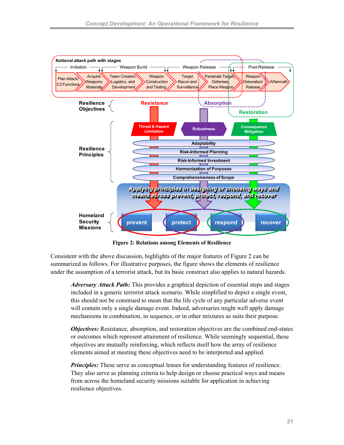

**Figure 2: Relations among Elements of Resilience** 

Consistent with the above discussion, highlights of the major features of Figure 2 can be summarized as follows. For illustrative purposes, the figure shows the elements of resilience under the assumption of a terrorist attack, but its basic construct also applies to natural hazards.

*Adversary Attack Path:* This provides a graphical depiction of essential steps and stages included in a generic terrorist attack scenario. While simplified to depict a single event, this should not be construed to mean that the life cycle of any particular adverse event will contain only a single damage event. Indeed, adversaries might well apply damage mechanisms in combination, in sequence, or in other mixtures as suits their purpose.

*Objectives:* Resistance, absorption, and restoration objectives are the combined end-states or outcomes which represent attainment of resilience. While seemingly sequential, these objectives are mutually reinforcing, which reflects itself how the array of resilience elements aimed at meeting these objectives need to be interpreted and applied.

*Principles:* These serve as conceptual lenses for understanding features of resilience. They also serve as planning criteria to help design or choose practical ways and means from across the homeland security missions suitable for application in achieving resilience objectives.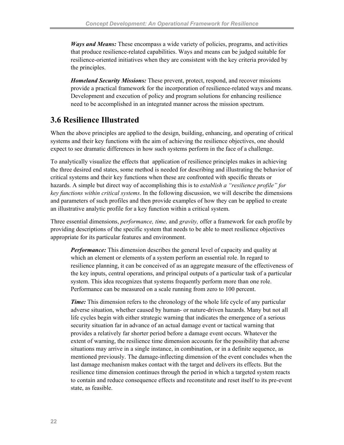*Ways and Means:* These encompass a wide variety of policies, programs, and activities that produce resilience-related capabilities. Ways and means can be judged suitable for resilience-oriented initiatives when they are consistent with the key criteria provided by the principles.

*Homeland Security Missions:* These prevent, protect, respond, and recover missions provide a practical framework for the incorporation of resilience-related ways and means. Development and execution of policy and program solutions for enhancing resilience need to be accomplished in an integrated manner across the mission spectrum.

### **3.6 Resilience Illustrated**

When the above principles are applied to the design, building, enhancing, and operating of critical systems and their key functions with the aim of achieving the resilience objectives, one should expect to see dramatic differences in how such systems perform in the face of a challenge.

To analytically visualize the effects that application of resilience principles makes in achieving the three desired end states, some method is needed for describing and illustrating the behavior of critical systems and their key functions when these are confronted with specific threats or hazards. A simple but direct way of accomplishing this is to *establish a "resilience profile" for key functions within critical systems*. In the following discussion, we will describe the dimensions and parameters of such profiles and then provide examples of how they can be applied to create an illustrative analytic profile for a key function within a critical system.

Three essential dimensions, *performance, time,* and *gravity,* offer a framework for each profile by providing descriptions of the specific system that needs to be able to meet resilience objectives appropriate for its particular features and environment.

*Performance:* This dimension describes the general level of capacity and quality at which an element or elements of a system perform an essential role. In regard to resilience planning, it can be conceived of as an aggregate measure of the effectiveness of the key inputs, central operations, and principal outputs of a particular task of a particular system. This idea recognizes that systems frequently perform more than one role. Performance can be measured on a scale running from zero to 100 percent.

*Time:* This dimension refers to the chronology of the whole life cycle of any particular adverse situation, whether caused by human- or nature-driven hazards. Many but not all life cycles begin with either strategic warning that indicates the emergence of a serious security situation far in advance of an actual damage event or tactical warning that provides a relatively far shorter period before a damage event occurs. Whatever the extent of warning, the resilience time dimension accounts for the possibility that adverse situations may arrive in a single instance, in combination, or in a definite sequence, as mentioned previously. The damage-inflecting dimension of the event concludes when the last damage mechanism makes contact with the target and delivers its effects. But the resilience time dimension continues through the period in which a targeted system reacts to contain and reduce consequence effects and reconstitute and reset itself to its pre-event state, as feasible.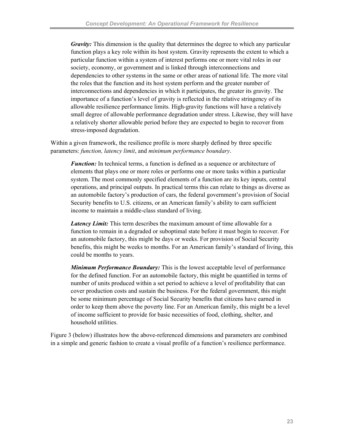*Gravity:* This dimension is the quality that determines the degree to which any particular function plays a key role within its host system. Gravity represents the extent to which a particular function within a system of interest performs one or more vital roles in our society, economy, or government and is linked through interconnections and dependencies to other systems in the same or other areas of national life. The more vital the roles that the function and its host system perform and the greater number of interconnections and dependencies in which it participates, the greater its gravity. The importance of a function's level of gravity is reflected in the relative stringency of its allowable resilience performance limits. High-gravity functions will have a relatively small degree of allowable performance degradation under stress. Likewise, they will have a relatively shorter allowable period before they are expected to begin to recover from stress-imposed degradation.

Within a given framework, the resilience profile is more sharply defined by three specific parameters: *function, latency limit*, and *minimum performance boundary*.

*Function:* In technical terms, a function is defined as a sequence or architecture of elements that plays one or more roles or performs one or more tasks within a particular system. The most commonly specified elements of a function are its key inputs, central operations, and principal outputs. In practical terms this can relate to things as diverse as an automobile factory's production of cars, the federal government's provision of Social Security benefits to U.S. citizens, or an American family's ability to earn sufficient income to maintain a middle-class standard of living.

*Latency Limit:* This term describes the maximum amount of time allowable for a function to remain in a degraded or suboptimal state before it must begin to recover. For an automobile factory, this might be days or weeks. For provision of Social Security benefits, this might be weeks to months. For an American family's standard of living, this could be months to years.

*Minimum Performance Boundary:* This is the lowest acceptable level of performance for the defined function. For an automobile factory, this might be quantified in terms of number of units produced within a set period to achieve a level of profitability that can cover production costs and sustain the business. For the federal government, this might be some minimum percentage of Social Security benefits that citizens have earned in order to keep them above the poverty line. For an American family, this might be a level of income sufficient to provide for basic necessities of food, clothing, shelter, and household utilities.

Figure 3 (below) illustrates how the above-referenced dimensions and parameters are combined in a simple and generic fashion to create a visual profile of a function's resilience performance.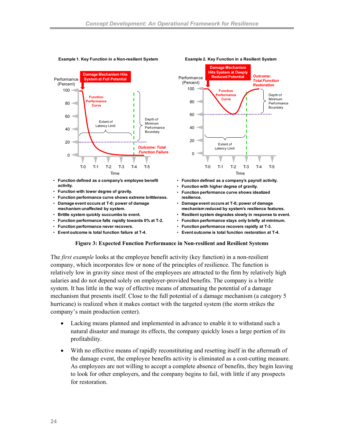

**Example 1. Key Function in a Non-resilient System**

- **Function defined as a company's employee benefit**
- 
- 
- **Damage event occurs at T-0; power of damage mechanism unaffected by system.**
- **Brittle system quickly succumbs to event.**
- **Function performance falls rapidly towards 0% at T-2.**
- **Function performance never recovers.**
- **Event outcome is total function failure at T-4.**
- **mechanism reduced by system's resilience features.** • **Resilient system degrades slowly in response to event.** • **Function performance stays only briefly at minimum.** • **Function performance recovers rapidly at T-3.** • **Event outcome is total function restoration at T-4.**

**Example 2. Key Function in a Resilient System**

#### **Figure 3: Expected Function Performance in Non-resilient and Resilient Systems**

The *first example* looks at the employee benefit activity (key function) in a non-resilient company, which incorporates few or none of the principles of resilience. The function is relatively low in gravity since most of the employees are attracted to the firm by relatively high salaries and do not depend solely on employer-provided benefits. The company is a brittle system. It has little in the way of effective means of attenuating the potential of a damage mechanism that presents itself. Close to the full potential of a damage mechanism (a category 5 hurricane) is realized when it makes contact with the targeted system (the storm strikes the company's main production center).

- Lacking means planned and implemented in advance to enable it to withstand such a natural disaster and manage its effects, the company quickly loses a large portion of its profitability.
- With no effective means of rapidly reconstituting and resetting itself in the aftermath of the damage event, the employee benefits activity is eliminated as a cost-cutting measure. As employees are not willing to accept a complete absence of benefits, they begin leaving to look for other employers, and the company begins to fail, with little if any prospects for restoration.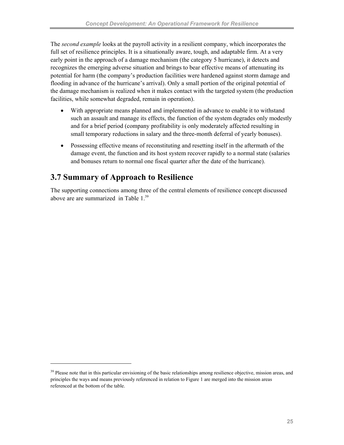The *second example* looks at the payroll activity in a resilient company, which incorporates the full set of resilience principles. It is a situationally aware, tough, and adaptable firm. At a very early point in the approach of a damage mechanism (the category 5 hurricane), it detects and recognizes the emerging adverse situation and brings to bear effective means of attenuating its potential for harm (the company's production facilities were hardened against storm damage and flooding in advance of the hurricane's arrival). Only a small portion of the original potential of the damage mechanism is realized when it makes contact with the targeted system (the production facilities, while somewhat degraded, remain in operation).

- With appropriate means planned and implemented in advance to enable it to withstand such an assault and manage its effects, the function of the system degrades only modestly and for a brief period (company profitability is only moderately affected resulting in small temporary reductions in salary and the three-month deferral of yearly bonuses).
- Possessing effective means of reconstituting and resetting itself in the aftermath of the damage event, the function and its host system recover rapidly to a normal state (salaries and bonuses return to normal one fiscal quarter after the date of the hurricane).

### **3.7 Summary of Approach to Resilience**

 $\overline{a}$ 

The supporting connections among three of the central elements of resilience concept discussed above are are summarized in Table 1.39

<sup>&</sup>lt;sup>39</sup> Please note that in this particular envisioning of the basic relationships among resilience objective, mission areas, and principles the ways and means previously referenced in relation to Figure 1 are merged into the mission areas referenced at the bottom of the table.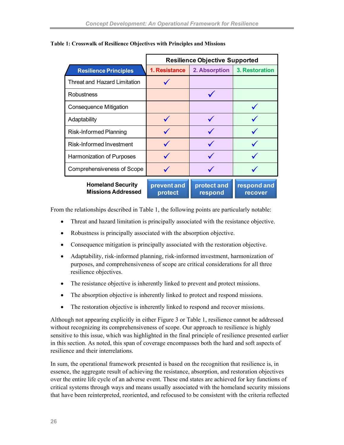|                                                       | <b>Resilience Objective Supported</b> |                        |                        |
|-------------------------------------------------------|---------------------------------------|------------------------|------------------------|
| <b>Resilience Principles</b>                          | 1. Resistance                         | 2. Absorption          | 3. Restoration         |
| Threat and Hazard Limitation                          |                                       |                        |                        |
| Robustness                                            |                                       |                        |                        |
| <b>Consequence Mitigation</b>                         |                                       |                        |                        |
| Adaptability                                          |                                       |                        |                        |
| Risk-Informed Planning                                |                                       |                        |                        |
| Risk-Informed Investment                              |                                       |                        |                        |
| Harmonization of Purposes                             |                                       |                        |                        |
| Comprehensiveness of Scope                            |                                       |                        |                        |
| <b>Homeland Security</b><br><b>Missions Addressed</b> | prevent and<br>protect                | protect and<br>respond | respond and<br>recover |

#### **Table 1: Crosswalk of Resilience Objectives with Principles and Missions**

From the relationships described in Table 1, the following points are particularly notable:

- Threat and hazard limitation is principally associated with the resistance objective.
- Robustness is principally associated with the absorption objective.
- Consequence mitigation is principally associated with the restoration objective.
- Adaptability, risk-informed planning, risk-informed investment, harmonization of purposes, and comprehensiveness of scope are critical considerations for all three resilience objectives.
- The resistance objective is inherently linked to prevent and protect missions.
- The absorption objective is inherently linked to protect and respond missions.
- The restoration objective is inherently linked to respond and recover missions.

Although not appearing explicitly in either Figure 3 or Table 1, resilience cannot be addressed without recognizing its comprehensiveness of scope. Our approach to resilience is highly sensitive to this issue, which was highlighted in the final principle of resilience presented earlier in this section. As noted, this span of coverage encompasses both the hard and soft aspects of resilience and their interrelations.

In sum, the operational framework presented is based on the recognition that resilience is, in essence, the aggregate result of achieving the resistance, absorption, and restoration objectives over the entire life cycle of an adverse event. These end states are achieved for key functions of critical systems through ways and means usually associated with the homeland security missions that have been reinterpreted, reoriented, and refocused to be consistent with the criteria reflected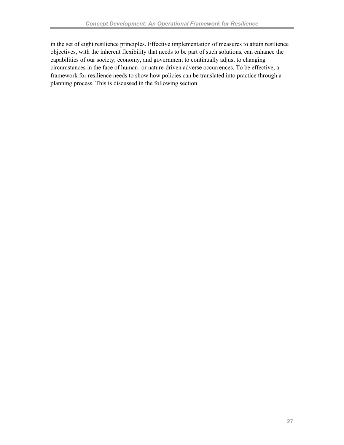in the set of eight resilience principles. Effective implementation of measures to attain resilience objectives, with the inherent flexibility that needs to be part of such solutions, can enhance the capabilities of our society, economy, and government to continually adjust to changing circumstances in the face of human- or nature-driven adverse occurrences. To be effective, a framework for resilience needs to show how policies can be translated into practice through a planning process. This is discussed in the following section.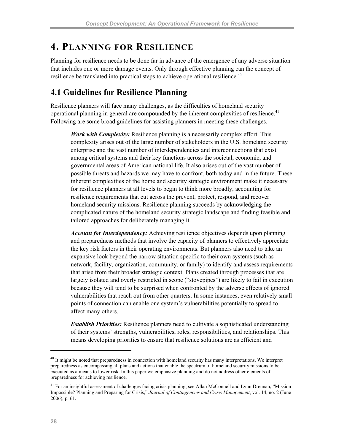### **4. PLANNING FOR RESILIENCE**

Planning for resilience needs to be done far in advance of the emergence of any adverse situation that includes one or more damage events. Only through effective planning can the concept of resilience be translated into practical steps to achieve operational resilience.<sup>40</sup>

#### **4.1 Guidelines for Resilience Planning**

Resilience planners will face many challenges, as the difficulties of homeland security operational planning in general are compounded by the inherent complexities of resilience.<sup>41</sup> Following are some broad guidelines for assisting planners in meeting these challenges.

*Work with Complexity:* Resilience planning is a necessarily complex effort. This complexity arises out of the large number of stakeholders in the U.S. homeland security enterprise and the vast number of interdependencies and interconnections that exist among critical systems and their key functions across the societal, economic, and governmental areas of American national life. It also arises out of the vast number of possible threats and hazards we may have to confront, both today and in the future. These inherent complexities of the homeland security strategic environment make it necessary for resilience planners at all levels to begin to think more broadly, accounting for resilience requirements that cut across the prevent, protect, respond, and recover homeland security missions. Resilience planning succeeds by acknowledging the complicated nature of the homeland security strategic landscape and finding feasible and tailored approaches for deliberately managing it.

*Account for Interdependency:* Achieving resilience objectives depends upon planning and preparedness methods that involve the capacity of planners to effectively appreciate the key risk factors in their operating environments. But planners also need to take an expansive look beyond the narrow situation specific to their own systems (such as network, facility, organization, community, or family) to identify and assess requirements that arise from their broader strategic context. Plans created through processes that are largely isolated and overly restricted in scope ("stovepipes") are likely to fail in execution because they will tend to be surprised when confronted by the adverse effects of ignored vulnerabilities that reach out from other quarters. In some instances, even relatively small points of connection can enable one system's vulnerabilities potentially to spread to affect many others.

*Establish Priorities:* Resilience planners need to cultivate a sophisticated understanding of their systems' strengths, vulnerabilities, roles, responsibilities, and relationships. This means developing priorities to ensure that resilience solutions are as efficient and

 $^{40}$  It might be noted that preparedness in connection with homeland security has many interpretations. We interpret preparedness as encompassing all plans and actions that enable the spectrum of homeland security missions to be executed as a means to lower risk. In this paper we emphasize planning and do not address other elements of preparedness for achieving resilience.

<sup>&</sup>lt;sup>41</sup> For an insightful assessment of challenges facing crisis planning, see Allan McConnell and Lynn Drennan, "Mission Impossible? Planning and Preparing for Crisis," *Journal of Contingencies and Crisis Management*, vol. 14, no. 2 (June 2006), p. 61.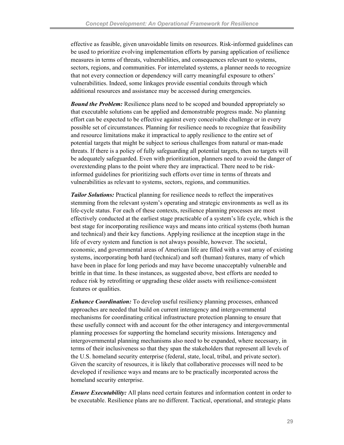effective as feasible, given unavoidable limits on resources. Risk-informed guidelines can be used to prioritize evolving implementation efforts by parsing application of resilience measures in terms of threats, vulnerabilities, and consequences relevant to systems, sectors, regions, and communities. For interrelated systems, a planner needs to recognize that not every connection or dependency will carry meaningful exposure to others' vulnerabilities. Indeed, some linkages provide essential conduits through which additional resources and assistance may be accessed during emergencies.

*Bound the Problem:* Resilience plans need to be scoped and bounded appropriately so that executable solutions can be applied and demonstrable progress made. No planning effort can be expected to be effective against every conceivable challenge or in every possible set of circumstances. Planning for resilience needs to recognize that feasibility and resource limitations make it impractical to apply resilience to the entire set of potential targets that might be subject to serious challenges from natural or man-made threats. If there is a policy of fully safeguarding all potential targets, then no targets will be adequately safeguarded. Even with prioritization, planners need to avoid the danger of overextending plans to the point where they are impractical. There need to be riskinformed guidelines for prioritizing such efforts over time in terms of threats and vulnerabilities as relevant to systems, sectors, regions, and communities.

*Tailor Solutions:* Practical planning for resilience needs to reflect the imperatives stemming from the relevant system's operating and strategic environments as well as its life-cycle status. For each of these contexts, resilience planning processes are most effectively conducted at the earliest stage practicable of a system's life cycle, which is the best stage for incorporating resilience ways and means into critical systems (both human and technical) and their key functions. Applying resilience at the inception stage in the life of every system and function is not always possible, however. The societal, economic, and governmental areas of American life are filled with a vast array of existing systems, incorporating both hard (technical) and soft (human) features, many of which have been in place for long periods and may have become unacceptably vulnerable and brittle in that time. In these instances, as suggested above, best efforts are needed to reduce risk by retrofitting or upgrading these older assets with resilience-consistent features or qualities.

*Enhance Coordination:* To develop useful resiliency planning processes, enhanced approaches are needed that build on current interagency and intergovernmental mechanisms for coordinating critical infrastructure protection planning to ensure that these usefully connect with and account for the other interagency and intergovernmental planning processes for supporting the homeland security missions. Interagency and intergovernmental planning mechanisms also need to be expanded, where necessary, in terms of their inclusiveness so that they span the stakeholders that represent all levels of the U.S. homeland security enterprise (federal, state, local, tribal, and private sector). Given the scarcity of resources, it is likely that collaborative processes will need to be developed if resilience ways and means are to be practically incorporated across the homeland security enterprise.

*Ensure Executability:* All plans need certain features and information content in order to be executable. Resilience plans are no different. Tactical, operational, and strategic plans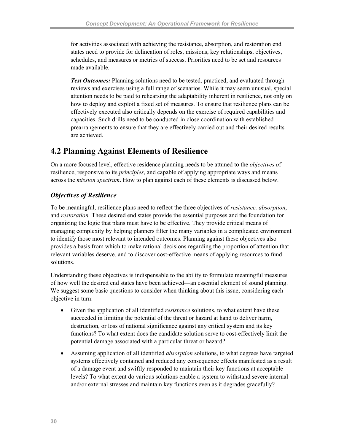for activities associated with achieving the resistance, absorption, and restoration end states need to provide for delineation of roles, missions, key relationships, objectives, schedules, and measures or metrics of success. Priorities need to be set and resources made available.

**Test Outcomes:** Planning solutions need to be tested, practiced, and evaluated through reviews and exercises using a full range of scenarios. While it may seem unusual, special attention needs to be paid to rehearsing the adaptability inherent in resilience, not only on how to deploy and exploit a fixed set of measures. To ensure that resilience plans can be effectively executed also critically depends on the exercise of required capabilities and capacities. Such drills need to be conducted in close coordination with established prearrangements to ensure that they are effectively carried out and their desired results are achieved.

### **4.2 Planning Against Elements of Resilience**

On a more focused level, effective residence planning needs to be attuned to the *objectives o*f resilience, responsive to its *principles*, and capable of applying appropriate ways and means across the *mission spectrum*. How to plan against each of these elements is discussed below.

#### *Objectives of Resilience*

To be meaningful, resilience plans need to reflect the three objectives of *resistance, absorption*, and *restoration.* These desired end states provide the essential purposes and the foundation for organizing the logic that plans must have to be effective. They provide critical means of managing complexity by helping planners filter the many variables in a complicated environment to identify those most relevant to intended outcomes. Planning against these objectives also provides a basis from which to make rational decisions regarding the proportion of attention that relevant variables deserve, and to discover cost-effective means of applying resources to fund solutions.

Understanding these objectives is indispensable to the ability to formulate meaningful measures of how well the desired end states have been achieved—an essential element of sound planning. We suggest some basic questions to consider when thinking about this issue, considering each objective in turn:

- Given the application of all identified *resistance* solutions, to what extent have these succeeded in limiting the potential of the threat or hazard at hand to deliver harm, destruction, or loss of national significance against any critical system and its key functions? To what extent does the candidate solution serve to cost-effectively limit the potential damage associated with a particular threat or hazard?
- Assuming application of all identified *absorption* solutions, to what degrees have targeted systems effectively contained and reduced any consequence effects manifested as a result of a damage event and swiftly responded to maintain their key functions at acceptable levels? To what extent do various solutions enable a system to withstand severe internal and/or external stresses and maintain key functions even as it degrades gracefully?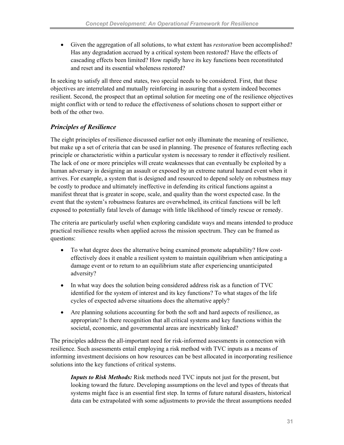• Given the aggregation of all solutions, to what extent has *restoration* been accomplished? Has any degradation accrued by a critical system been restored? Have the effects of cascading effects been limited? How rapidly have its key functions been reconstituted and reset and its essential wholeness restored?

In seeking to satisfy all three end states, two special needs to be considered. First, that these objectives are interrelated and mutually reinforcing in assuring that a system indeed becomes resilient. Second, the prospect that an optimal solution for meeting one of the resilience objectives might conflict with or tend to reduce the effectiveness of solutions chosen to support either or both of the other two.

#### *Principles of Resilience*

The eight principles of resilience discussed earlier not only illuminate the meaning of resilience, but make up a set of criteria that can be used in planning. The presence of features reflecting each principle or characteristic within a particular system is necessary to render it effectively resilient. The lack of one or more principles will create weaknesses that can eventually be exploited by a human adversary in designing an assault or exposed by an extreme natural hazard event when it arrives. For example, a system that is designed and resourced to depend solely on robustness may be costly to produce and ultimately ineffective in defending its critical functions against a manifest threat that is greater in scope, scale, and quality than the worst expected case. In the event that the system's robustness features are overwhelmed, its critical functions will be left exposed to potentially fatal levels of damage with little likelihood of timely rescue or remedy.

The criteria are particularly useful when exploring candidate ways and means intended to produce practical resilience results when applied across the mission spectrum. They can be framed as questions:

- To what degree does the alternative being examined promote adaptability? How costeffectively does it enable a resilient system to maintain equilibrium when anticipating a damage event or to return to an equilibrium state after experiencing unanticipated adversity?
- In what way does the solution being considered address risk as a function of TVC identified for the system of interest and its key functions? To what stages of the life cycles of expected adverse situations does the alternative apply?
- Are planning solutions accounting for both the soft and hard aspects of resilience, as appropriate? Is there recognition that all critical systems and key functions within the societal, economic, and governmental areas are inextricably linked?

The principles address the all-important need for risk-informed assessments in connection with resilience. Such assessments entail employing a risk method with TVC inputs as a means of informing investment decisions on how resources can be best allocated in incorporating resilience solutions into the key functions of critical systems.

*Inputs to Risk Methods:* Risk methods need TVC inputs not just for the present, but looking toward the future. Developing assumptions on the level and types of threats that systems might face is an essential first step. In terms of future natural disasters, historical data can be extrapolated with some adjustments to provide the threat assumptions needed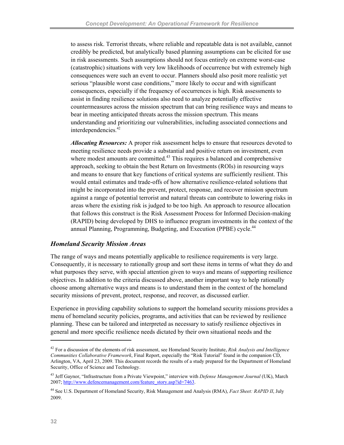to assess risk. Terrorist threats, where reliable and repeatable data is not available, cannot credibly be predicted, but analytically based planning assumptions can be elicited for use in risk assessments. Such assumptions should not focus entirely on extreme worst-case (catastrophic) situations with very low likelihoods of occurrence but with extremely high consequences were such an event to occur. Planners should also posit more realistic yet serious "plausible worst case conditions," more likely to occur and with significant consequences, especially if the frequency of occurrences is high. Risk assessments to assist in finding resilience solutions also need to analyze potentially effective countermeasures across the mission spectrum that can bring resilience ways and means to bear in meeting anticipated threats across the mission spectrum. This means understanding and prioritizing our vulnerabilities, including associated connections and interdependencies. 42

*Allocating Resources:* A proper risk assessment helps to ensure that resources devoted to meeting resilience needs provide a substantial and positive return on investment, even where modest amounts are committed.<sup>43</sup> This requires a balanced and comprehensive approach, seeking to obtain the best Return on Investments (ROIs) in resourcing ways and means to ensure that key functions of critical systems are sufficiently resilient. This would entail estimates and trade-offs of how alternative resilience-related solutions that might be incorporated into the prevent, protect, response, and recover mission spectrum against a range of potential terrorist and natural threats can contribute to lowering risks in areas where the existing risk is judged to be too high. An approach to resource allocation that follows this construct is the Risk Assessment Process for Informed Decision-making (RAPID) being developed by DHS to influence program investments in the context of the annual Planning, Programming, Budgeting, and Execution (PPBE) cycle.<sup>44</sup>

#### *Homeland Security Mission Areas*

The range of ways and means potentially applicable to resilience requirements is very large. Consequently, it is necessary to rationally group and sort these items in terms of what they do and what purposes they serve, with special attention given to ways and means of supporting resilience objectives. In addition to the criteria discussed above, another important way to help rationally choose among alternative ways and means is to understand them in the context of the homeland security missions of prevent, protect, response, and recover, as discussed earlier.

Experience in providing capability solutions to support the homeland security missions provides a menu of homeland security policies, programs, and activities that can be reviewed by resilience planning. These can be tailored and interpreted as necessary to satisfy resilience objectives in general and more specific resilience needs dictated by their own situational needs and the

<sup>42</sup> For a discussion of the elements of risk assessment, see Homeland Security Institute, *Risk Analysis and Intelligence Communities Collaborative Framework*, Final Report, especially the "Risk Tutorial" found in the companion CD, Arlington, VA, April 23, 2009. This document records the results of a study prepared for the Department of Homeland Security, Office of Science and Technology.

<sup>43</sup> Jeff Gaynor, "Infrastructure from a Private Viewpoint," interview with *Defense Management Journal* (UK), March 2007; http://www.defencemanagement.com/feature\_story.asp?id=7463.

<sup>44</sup> See U.S. Department of Homeland Security, Risk Management and Analysis (RMA), *Fact Sheet: RAPID II*, July 2009.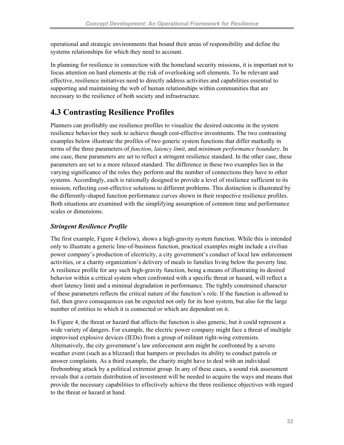operational and strategic environments that bound their areas of responsibility and define the systems relationships for which they need to account.

In planning for resilience in connection with the homeland security missions, it is important not to focus attention on hard elements at the risk of overlooking soft elements. To be relevant and effective, resilience initiatives need to directly address activities and capabilities essential to supporting and maintaining the web of human relationships within communities that are necessary to the resilience of both society and infrastructure.

### **4.3 Contrasting Resilience Profiles**

Planners can profitably use resilience profiles to visualize the desired outcome in the system resilience behavior they seek to achieve though cost-effective investments. The two contrasting examples below illustrate the profiles of two generic system functions that differ markedly in terms of the three parameters of *function*, *latency limit*, and *minimum performance boundary*. In one case, these parameters are set to reflect a stringent resilience standard. In the other case, these parameters are set to a more relaxed standard. The difference in these two examples lies in the varying significance of the roles they perform and the number of connections they have to other systems. Accordingly, each is rationally designed to provide a level of resilience sufficient to its mission, reflecting cost-effective solutions to different problems. This distinction is illustrated by the differently-shaped function performance curves shown in their respective resilience profiles. Both situations are examined with the simplifying assumption of common time and performance scales or dimensions.

#### *Stringent Resilience Profile*

The first example, Figure 4 (below), shows a high-gravity system function. While this is intended only to illustrate a generic line-of-business function, practical examples might include a civilian power company's production of electricity, a city government's conduct of local law enforcement activities, or a charity organization's delivery of meals to families living below the poverty line. A resilience profile for any such high-gravity function, being a means of illustrating its desired behavior within a critical system when confronted with a specific threat or hazard, will reflect a short latency limit and a minimal degradation in performance. The tightly constrained character of these parameters reflects the critical nature of the function's role. If the function is allowed to fail, then grave consequences can be expected not only for its host system, but also for the large number of entities to which it is connected or which are dependent on it.

In Figure 4, the threat or hazard that affects the function is also generic, but it could represent a wide variety of dangers. For example, the electric power company might face a threat of multiple improvised explosive devices (IEDs) from a group of militant right-wing extremists. Alternatively, the city government's law enforcement arm might be confronted by a severe weather event (such as a blizzard) that hampers or precludes its ability to conduct patrols or answer complaints. As a third example, the charity might have to deal with an individual firebombing attack by a political extremist group. In any of these cases, a sound risk assessment reveals that a certain distribution of investment will be needed to acquire the ways and means that provide the necessary capabilities to effectively achieve the three resilience objectives with regard to the threat or hazard at hand.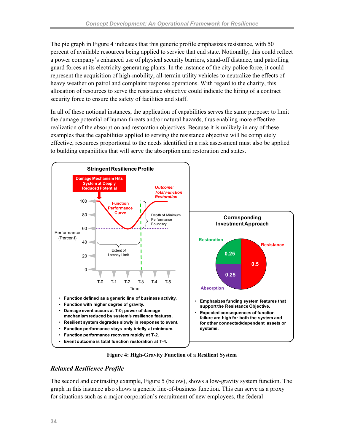The pie graph in Figure 4 indicates that this generic profile emphasizes resistance, with 50 percent of available resources being applied to service that end state. Notionally, this could reflect a power company's enhanced use of physical security barriers, stand-off distance, and patrolling guard forces at its electricity-generating plants. In the instance of the city police force, it could represent the acquisition of high-mobility, all-terrain utility vehicles to neutralize the effects of heavy weather on patrol and complaint response operations. With regard to the charity, this allocation of resources to serve the resistance objective could indicate the hiring of a contract security force to ensure the safety of facilities and staff.

In all of these notional instances, the application of capabilities serves the same purpose: to limit the damage potential of human threats and/or natural hazards, thus enabling more effective realization of the absorption and restoration objectives. Because it is unlikely in any of these examples that the capabilities applied to serving the resistance objective will be completely effective, resources proportional to the needs identified in a risk assessment must also be applied to building capabilities that will serve the absorption and restoration end states.



#### **Figure 4: High-Gravity Function of a Resilient System**

#### *Relaxed Resilience Profile*

The second and contrasting example, Figure 5 (below), shows a low-gravity system function. The graph in this instance also shows a generic line-of-business function. This can serve as a proxy for situations such as a major corporation's recruitment of new employees, the federal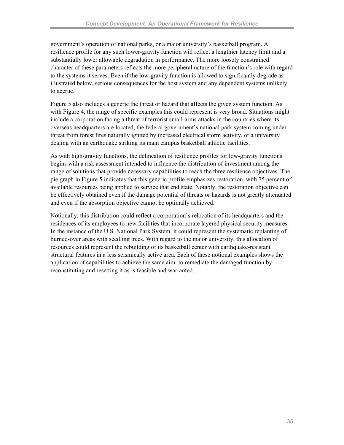government's operation of national parks, or a major university's basketball program. A resilience profile for any such lower-gravity function will reflect a lengthier latency limit and a substantially lower allowable degradation in performance. The more loosely constrained character of these parameters reflects the more peripheral nature of the function's role with regard to the systems it serves. Even if the low-gravity function is allowed to significantly degrade as illustrated below, serious consequences for the host system and any dependent systems unlikely to accrue.

Figure 5 also includes a generic the threat or hazard that affects the given system function. As with Figure 4, the range of specific examples this could represent is very broad. Situations might include a corporation facing a threat of terrorist small-arms attacks in the countries where its overseas headquarters are located, the federal government's national park system coming under threat from forest fires naturally ignited by increased electrical storm activity, or a university dealing with an earthquake striking its main campus basketball athletic facilities.

As with high-gravity functions, the delineation of resilience profiles for low-gravity functions begins with a risk assessment intended to influence the distribution of investment among the range of solutions that provide necessary capabilities to reach the three resilience objectives. The pie graph in Figure 5 indicates that this generic profile emphasizes restoration, with 75 percent of available resources being applied to service that end state. Notably, the restoration objective can be effectively obtained even if the damage potential of threats or hazards is not greatly attenuated and even if the absorption objective cannot be optimally achieved.

Notionally, this distribution could reflect a corporation's relocation of its headquarters and the residences of its employees to new facilities that incorporate layered physical security measures. In the instance of the U.S. National Park System, it could represent the systematic replanting of burned-over areas with seedling trees. With regard to the major university, this allocation of resources could represent the rebuilding of its basketball center with earthquake-resistant structural features in a less seismically active area. Each of these notional examples shows the application of capabilities to achieve the same aim: to remediate the damaged function by reconstituting and resetting it as is feasible and warranted.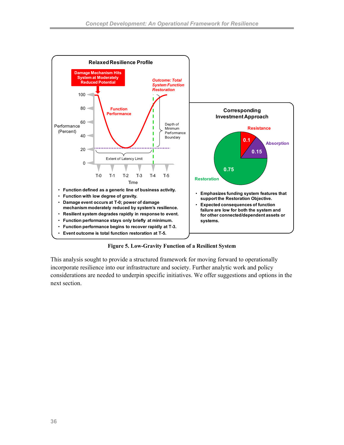

**Figure 5. Low-Gravity Function of a Resilient System** 

This analysis sought to provide a structured framework for moving forward to operationally incorporate resilience into our infrastructure and society. Further analytic work and policy considerations are needed to underpin specific initiatives. We offer suggestions and options in the next section.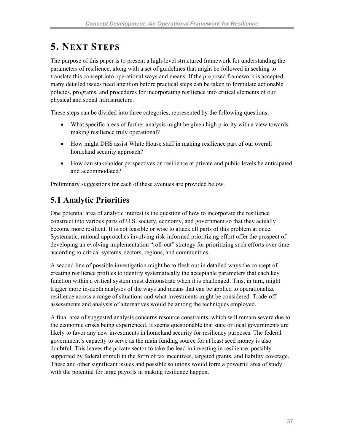## **5. NEXT STEPS**

The purpose of this paper is to present a high-level structured framework for understanding the parameters of resilience, along with a set of guidelines that might be followed in seeking to translate this concept into operational ways and means. If the proposed framework is accepted, many detailed issues need attention before practical steps can be taken to formulate actionable policies, programs, and procedures for incorporating resilience into critical elements of our physical and social infrastructure.

These steps can be divided into three categories, represented by the following questions:

- What specific areas of further analysis might be given high priority with a view towards making resilience truly operational?
- How might DHS assist White House staff in making resilience part of our overall homeland security approach?
- How can stakeholder perspectives on resilience at private and public levels be anticipated and accommodated?

Preliminary suggestions for each of these avenues are provided below.

### **5.1 Analytic Priorities**

One potential area of analytic interest is the question of how to incorporate the resilience construct into various parts of U.S. society, economy, and government so that they actually become more resilient. It is not feasible or wise to attack all parts of this problem at once. Systematic, rational approaches involving risk-informed prioritizing effort offer the prospect of developing an evolving implementation "roll-out" strategy for prioritizing such efforts over time according to critical systems, sectors, regions, and communities.

A second line of possible investigation might be to flesh out in detailed ways the concept of creating resilience profiles to identify systematically the acceptable parameters that each key function within a critical system must demonstrate when it is challenged. This, in turn, might trigger more in-depth analyses of the ways and means that can be applied to operationalize resilience across a range of situations and what investments might be considered. Trade-off assessments and analysis of alternatives would be among the techniques employed.

A final area of suggested analysis concerns resource constraints, which will remain severe due to the economic crises being experienced. It seems questionable that state or local governments are likely to favor any new investments in homeland security for resiliency purposes. The federal government's capacity to serve as the main funding source for at least seed money is also doubtful. This leaves the private sector to take the lead in investing in resilience, possibly supported by federal stimuli in the form of tax incentives, targeted grants, and liability coverage. These and other significant issues and possible solutions would form a powerful area of study with the potential for large payoffs in making resilience happen.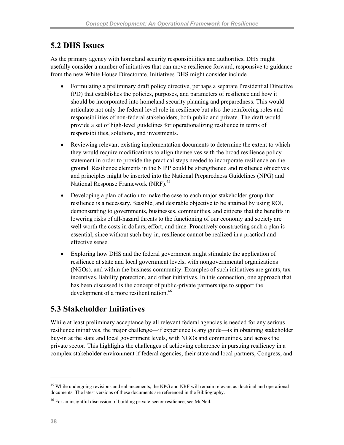### **5.2 DHS Issues**

As the primary agency with homeland security responsibilities and authorities, DHS might usefully consider a number of initiatives that can move resilience forward, responsive to guidance from the new White House Directorate. Initiatives DHS might consider include

- Formulating a preliminary draft policy directive, perhaps a separate Presidential Directive (PD) that establishes the policies, purposes, and parameters of resilience and how it should be incorporated into homeland security planning and preparedness. This would articulate not only the federal level role in resilience but also the reinforcing roles and responsibilities of non-federal stakeholders, both public and private. The draft would provide a set of high-level guidelines for operationalizing resilience in terms of responsibilities, solutions, and investments.
- Reviewing relevant existing implementation documents to determine the extent to which they would require modifications to align themselves with the broad resilience policy statement in order to provide the practical steps needed to incorporate resilience on the ground. Resilience elements in the NIPP could be strengthened and resilience objectives and principles might be inserted into the National Preparedness Guidelines (NPG) and National Response Framework (NRF).<sup>45</sup>
- Developing a plan of action to make the case to each major stakeholder group that resilience is a necessary, feasible, and desirable objective to be attained by using ROI, demonstrating to governments, businesses, communities, and citizens that the benefits in lowering risks of all-hazard threats to the functioning of our economy and society are well worth the costs in dollars, effort, and time. Proactively constructing such a plan is essential, since without such buy-in, resilience cannot be realized in a practical and effective sense.
- Exploring how DHS and the federal government might stimulate the application of resilience at state and local government levels, with nongovernmental organizations (NGOs), and within the business community. Examples of such initiatives are grants, tax incentives, liability protection, and other initiatives. In this connection, one approach that has been discussed is the concept of public-private partnerships to support the development of a more resilient nation.<sup>46</sup>

### **5.3 Stakeholder Initiatives**

While at least preliminary acceptance by all relevant federal agencies is needed for any serious resilience initiatives, the major challenge—if experience is any guide—is in obtaining stakeholder buy-in at the state and local government levels, with NGOs and communities, and across the private sector. This highlights the challenges of achieving coherence in pursuing resiliency in a complex stakeholder environment if federal agencies, their state and local partners, Congress, and

<sup>&</sup>lt;sup>45</sup> While undergoing revisions and enhancements, the NPG and NRF will remain relevant as doctrinal and operational documents. The latest versions of these documents are referenced in the Bibliography.

<sup>46</sup> For an insightful discussion of building private-sector resilience, see McNeil.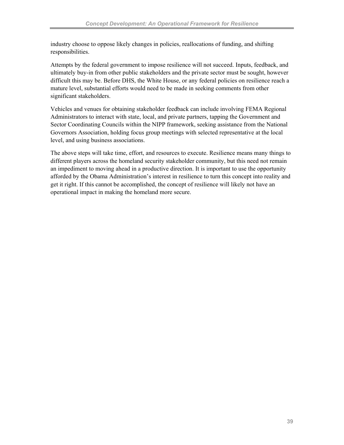industry choose to oppose likely changes in policies, reallocations of funding, and shifting responsibilities.

Attempts by the federal government to impose resilience will not succeed. Inputs, feedback, and ultimately buy-in from other public stakeholders and the private sector must be sought, however difficult this may be. Before DHS, the White House, or any federal policies on resilience reach a mature level, substantial efforts would need to be made in seeking comments from other significant stakeholders.

Vehicles and venues for obtaining stakeholder feedback can include involving FEMA Regional Administrators to interact with state, local, and private partners, tapping the Government and Sector Coordinating Councils within the NIPP framework, seeking assistance from the National Governors Association, holding focus group meetings with selected representative at the local level, and using business associations.

The above steps will take time, effort, and resources to execute. Resilience means many things to different players across the homeland security stakeholder community, but this need not remain an impediment to moving ahead in a productive direction. It is important to use the opportunity afforded by the Obama Administration's interest in resilience to turn this concept into reality and get it right. If this cannot be accomplished, the concept of resilience will likely not have an operational impact in making the homeland more secure.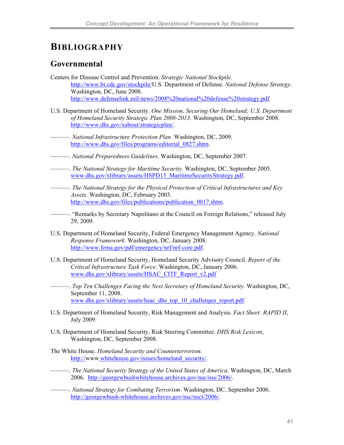### **BIBLIOGRAPHY**

#### **Governmental**

- Centers for Disease Control and Prevention. *Strategic National Stockpile.*  http://www.bt.cdc.gov/stockpile/U.S. Department of Defense. *National Defense Strategy*. Washington, DC, June 2008. http://www.defenselink.mil/news/2008%20national%20defense%20strategy.pdf.
- U.S. Department of Homeland Security. *One Mission, Securing Our Homeland; U.S. Department of Homeland Security Strategic Plan 2008-2013*. Washington, DC, September 2008. http://www.dhs.gov/xabout/strategicplan/.
- ———. *National Infrastructure Protection Plan*. Washington, DC, 2009. http://www.dhs.gov/files/programs/editorial\_0827.shtm.
- ———. *National Preparedness Guidelines*. Washington, DC, September 2007.
- ———. *The National Strategy for Maritime Security*. Washington, DC, September 2005. www.dhs.gov/xlibrary/assets/HSPD13\_MaritimeSecurityStrategy.pdf.
- ———. *The National Strategy for the Physical Protection of Critical Infrastructures and Key Assets*. Washington, DC, February 2003. http://www.dhs.gov/files/publications/publication\_0017.shtm.
- ———. "Remarks by Secretary Napolitano at the Council on Foreign Relations," released July 29, 2009.
- U.S. Department of Homeland Security, Federal Emergency Management Agency. *National Response Framework*. Washington, DC, January 2008. http://www.fema.gov/pdf/emergency/nrf/nrf-core.pdf.
- U.S. Department of Homeland Security, Homeland Security Advisory Council. *Report of the Critical Infrastructure Task Force*. Washington, DC, January 2006. www.dhs.gov/xlibrary/assets/HSAC\_CITF\_Report\_v2.pdf
	- ———. *Top Ten Challenges Facing the Next Secretary of Homeland Security*. Washington, DC, September 11, 2008. www.dhs.gov/xlibrary/assets/hsac\_dhs\_top\_10\_challenges\_report.pdf.
- U.S. Department of Homeland Security, Risk Management and Analysis. *Fact Sheet: RAPID II*, July 2009.
- U.S. Department of Homeland Security, Risk Steering Committee. *DHS Risk Lexicon*, Washington, DC, September 2008.
- The White House. *Homeland Security and Counterterrorism.*  http://www.whitehouse.gov/issues/homeland\_security/.
- ———. *The National Security Strategy of the United States of America*. Washington, DC, March 2006. http://georgewbushwhitehouse.archives.gov/nsc/nss/2006/.
- ———. *National Strategy for Combating Terrorism*. Washington, DC, September 2006. http://georgewbush-whitehouse.archives.gov/nsc/nsct/2006/.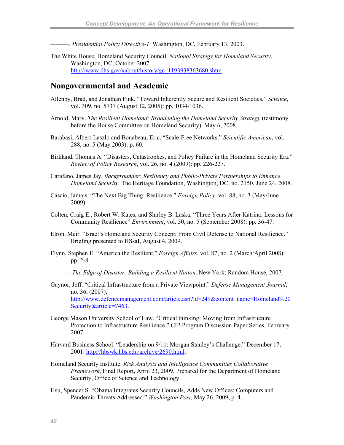———. *Presidential Policy Directive-1*. Washington, DC, February 13, 2003.

The White House, Homeland Security Council. *National Strategy for Homeland Security*. Washington, DC, October 2007. http://www.dhs.gov/xabout/history/gc\_1193938363680.shtm

#### **Nongovernmental and Academic**

- Allenby, Brad, and Jonathan Fink. "Toward Inherently Secure and Resilient Societies." *Science*, vol. 309, no. 5737 (August 12, 2005): pp. 1034-1036.
- Arnold, Mary. *The Resilient Homeland: Broadening the Homeland Security Strategy* (testimony before the House Committee on Homeland Security). May 6, 2008.
- Barabasi, Albert-Laszlo and Bonabeau, Eric. "Scale-Free Networks." *Scientific American*, vol. 288, no. 5 (May 2003): p. 60.
- Birkland, Thomas A. "Disasters, Catastrophes, and Policy Failure in the Homeland Security Era." *Review of Policy Research*, vol. 26, no. 4 (2009): pp. 226-227.
- Carafano, James Jay. *Backgrounder: Resiliency and Public-Private Partnerships to Enhance Homeland Security*. The Heritage Foundation, Washington, DC, no. 2150, June 24, 2008.
- Cascio, Jamais. "The Next Big Thing: Resilience." *Foreign Policy*, vol. 88, no. 3 (May/June 2009).
- Colten, Craig E., Robert W. Kates, and Shirley B. Laska. "Three Years After Katrina: Lessons for Community Resilience" *Environment*, vol. 50, no. 5 (September 2008): pp. 36-47.
- Elron, Meir. "Israel's Homeland Security Concept: From Civil Defense to National Resilience." Briefing presented to HSsaI, August 4, 2009.
- Flynn, Stephen E. "America the Resilient." *Foreign Affairs*, vol. 87, no. 2 (March/April 2008): pp. 2-8.
	- ———. *The Edge of Disaster: Building a Resilient Nation*. New York: Random House, 2007.
- Gaynor, Jeff. "Critical Infrastructure from a Private Viewpoint." *Defense Management Journal*, no. 36, (2007). http://www.defencemanagement.com/article.asp?id=249&content\_name=Homeland%20 Security&article=7463.
- George Mason University School of Law. "Critical thinking: Moving from Infrastructure Protection to Infrastructure Resilience." CIP Program Discussion Paper Series, February 2007.
- Harvard Business School. "Leadership on 9/11: Morgan Stanley's Challenge." December 17, 2001. http://hbswk.hbs.edu/archive/2690.html.
- Homeland Security Institute. *Risk Analysis and Intelligence Communities Collaborative Framework*, Final Report, April 23, 2009. Prepared for the Department of Homeland Security, Office of Science and Technology.
- Hsu, Spencer S. "Obama Integrates Security Councils, Adds New Offices: Computers and Pandemic Threats Addressed." *Washington Post*, May 26, 2009, p. 4.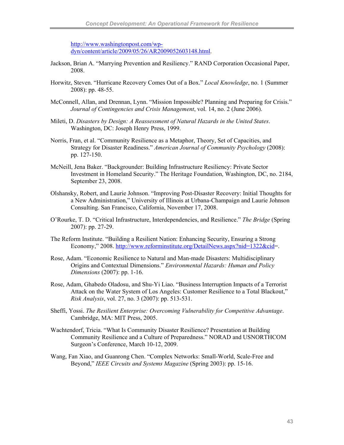http://www.washingtonpost.com/wpdyn/content/article/2009/05/26/AR2009052603148.html.

- Jackson, Brian A. "Marrying Prevention and Resiliency." RAND Corporation Occasional Paper, 2008.
- Horwitz, Steven. "Hurricane Recovery Comes Out of a Box." *Local Knowledge*, no. 1 (Summer 2008): pp. 48-55.
- McConnell, Allan, and Drennan, Lynn. "Mission Impossible? Planning and Preparing for Crisis." *Journal of Contingencies and Crisis Management*, vol. 14, no. 2 (June 2006).
- Mileti, D. *Disasters by Design: A Reassessment of Natural Hazards in the United States*. Washington, DC: Joseph Henry Press, 1999.
- Norris, Fran, et al. "Community Resilience as a Metaphor, Theory, Set of Capacities, and Strategy for Disaster Readiness." *American Journal of Community Psychology* (2008): pp. 127-150.
- McNeill, Jena Baker. "Backgrounder: Building Infrastructure Resiliency: Private Sector Investment in Homeland Security." The Heritage Foundation, Washington, DC, no. 2184, September 23, 2008.
- Olshansky, Robert, and Laurie Johnson. "Improving Post-Disaster Recovery: Initial Thoughts for a New Administration," University of Illinois at Urbana-Champaign and Laurie Johnson Consulting. San Francisco, California, November 17, 2008.
- O'Rourke, T. D. "Critical Infrastructure, Interdependencies, and Resilience." *The Bridge* (Spring 2007): pp. 27-29.
- The Reform Institute. "Building a Resilient Nation: Enhancing Security, Ensuring a Strong Economy," 2008. http://www.reforminstitute.org/DetailNews.aspx?nid=1322&cid=.
- Rose, Adam. "Economic Resilience to Natural and Man-made Disasters: Multidisciplinary Origins and Contextual Dimensions." *Environmental Hazards: Human and Policy Dimensions* (2007): pp. 1-16.
- Rose, Adam, Ghabedo Oladosu, and Shu-Yi Liao. "Business Interruption Impacts of a Terrorist Attack on the Water System of Los Angeles: Customer Resilience to a Total Blackout," *Risk Analysis*, vol. 27, no. 3 (2007): pp. 513-531.
- Sheffi, Yossi. *The Resilient Enterprise: Overcoming Vulnerability for Competitive Advantage*. Cambridge, MA: MIT Press, 2005.
- Wachtendorf, Tricia. "What Is Community Disaster Resilience? Presentation at Building Community Resilience and a Culture of Preparedness." NORAD and USNORTHCOM Surgeon's Conference, March 10-12, 2009.
- Wang, Fan Xiao, and Guanrong Chen. "Complex Networks: Small-World, Scale-Free and Beyond," *IEEE Circuits and Systems Magazine* (Spring 2003): pp. 15-16.